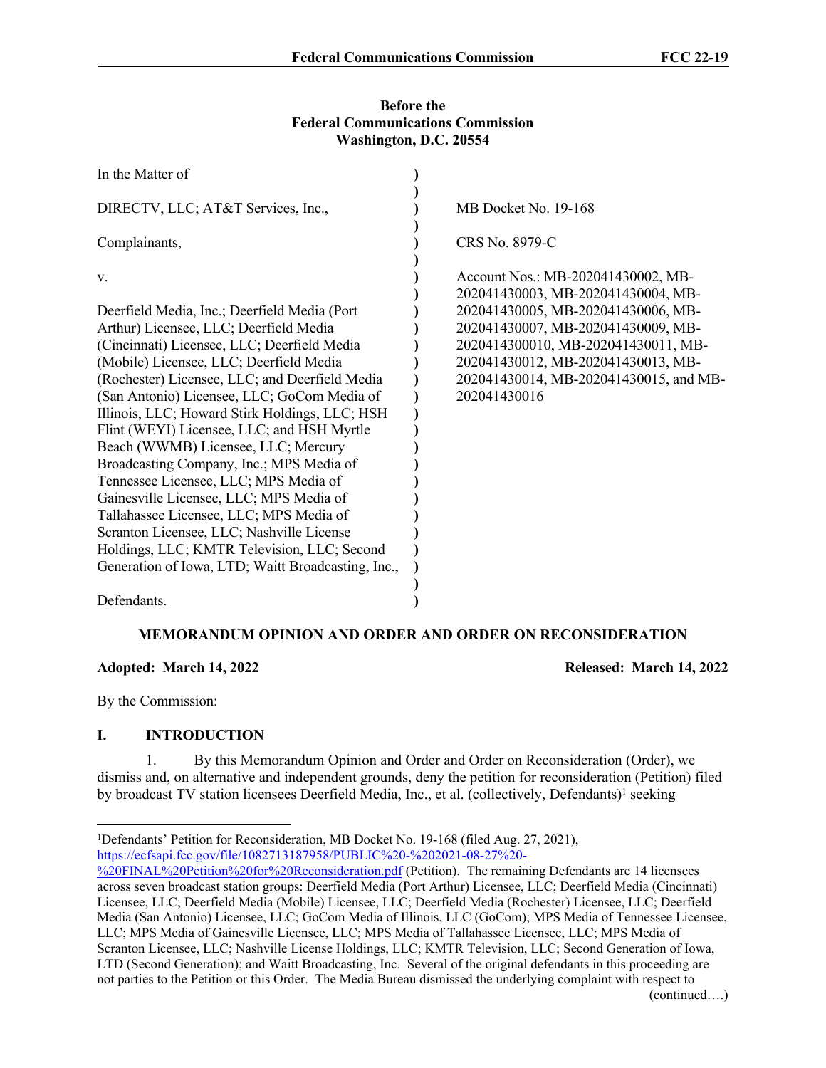#### **Before the Federal Communications Commission Washington, D.C. 20554**

| In the Matter of                                   |                                                                          |
|----------------------------------------------------|--------------------------------------------------------------------------|
| DIRECTV, LLC; AT&T Services, Inc.,                 | MB Docket No. 19-168                                                     |
| Complainants,                                      | CRS No. 8979-C                                                           |
| V.                                                 | Account Nos.: MB-202041430002, MB-<br>202041430003, MB-202041430004, MB- |
| Deerfield Media, Inc.; Deerfield Media (Port       | 202041430005, MB-202041430006, MB-                                       |
| Arthur) Licensee, LLC; Deerfield Media             | 202041430007, MB-202041430009, MB-                                       |
| (Cincinnati) Licensee, LLC; Deerfield Media        | 2020414300010, MB-202041430011, MB-                                      |
| (Mobile) Licensee, LLC; Deerfield Media            | 202041430012, MB-202041430013, MB-                                       |
| (Rochester) Licensee, LLC; and Deerfield Media     | 202041430014, MB-202041430015, and MB-                                   |
| (San Antonio) Licensee, LLC; GoCom Media of        | 202041430016                                                             |
| Illinois, LLC; Howard Stirk Holdings, LLC; HSH     |                                                                          |
| Flint (WEYI) Licensee, LLC; and HSH Myrtle         |                                                                          |
| Beach (WWMB) Licensee, LLC; Mercury                |                                                                          |
| Broadcasting Company, Inc.; MPS Media of           |                                                                          |
| Tennessee Licensee, LLC; MPS Media of              |                                                                          |
| Gainesville Licensee, LLC; MPS Media of            |                                                                          |
| Tallahassee Licensee, LLC; MPS Media of            |                                                                          |
| Scranton Licensee, LLC; Nashville License          |                                                                          |
| Holdings, LLC; KMTR Television, LLC; Second        |                                                                          |
| Generation of Iowa, LTD; Waitt Broadcasting, Inc., |                                                                          |
|                                                    |                                                                          |
| Defendants.                                        |                                                                          |

# **MEMORANDUM OPINION AND ORDER AND ORDER ON RECONSIDERATION**

**Adopted: March 14, 2022 Released: March 14, 2022**

By the Commission:

# **I. INTRODUCTION**

1. By this Memorandum Opinion and Order and Order on Reconsideration (Order), we dismiss and, on alternative and independent grounds, deny the petition for reconsideration (Petition) filed by broadcast TV station licensees Deerfield Media, Inc., et al. (collectively, Defendants)<sup>1</sup> seeking

<sup>1</sup>Defendants' Petition for Reconsideration, MB Docket No. 19-168 (filed Aug. 27, 2021), [https://ecfsapi.fcc.gov/file/1082713187958/PUBLIC%20-%202021-08-27%20-](https://ecfsapi.fcc.gov/file/1082713187958/PUBLIC%20-%202021-08-27%20-%20FINAL%20Petition%20for%20Reconsideration.pdf)

[<sup>%20</sup>FINAL%20Petition%20for%20Reconsideration.pdf](https://ecfsapi.fcc.gov/file/1082713187958/PUBLIC%20-%202021-08-27%20-%20FINAL%20Petition%20for%20Reconsideration.pdf) (Petition). The remaining Defendants are 14 licensees across seven broadcast station groups: Deerfield Media (Port Arthur) Licensee, LLC; Deerfield Media (Cincinnati) Licensee, LLC; Deerfield Media (Mobile) Licensee, LLC; Deerfield Media (Rochester) Licensee, LLC; Deerfield Media (San Antonio) Licensee, LLC; GoCom Media of Illinois, LLC (GoCom); MPS Media of Tennessee Licensee, LLC; MPS Media of Gainesville Licensee, LLC; MPS Media of Tallahassee Licensee, LLC; MPS Media of Scranton Licensee, LLC; Nashville License Holdings, LLC; KMTR Television, LLC; Second Generation of Iowa, LTD (Second Generation); and Waitt Broadcasting, Inc. Several of the original defendants in this proceeding are not parties to the Petition or this Order. The Media Bureau dismissed the underlying complaint with respect to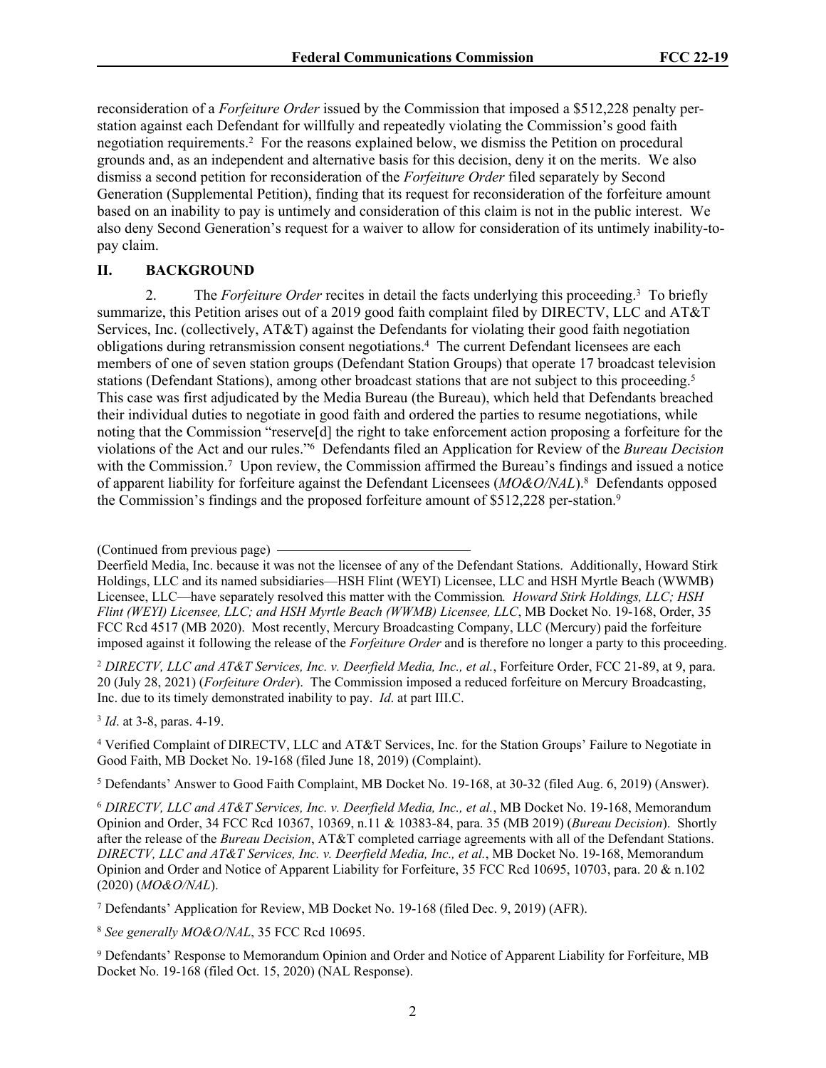reconsideration of a *Forfeiture Order* issued by the Commission that imposed a \$512,228 penalty perstation against each Defendant for willfully and repeatedly violating the Commission's good faith negotiation requirements.<sup>2</sup> For the reasons explained below, we dismiss the Petition on procedural grounds and, as an independent and alternative basis for this decision, deny it on the merits. We also dismiss a second petition for reconsideration of the *Forfeiture Order* filed separately by Second Generation (Supplemental Petition), finding that its request for reconsideration of the forfeiture amount based on an inability to pay is untimely and consideration of this claim is not in the public interest. We also deny Second Generation's request for a waiver to allow for consideration of its untimely inability-topay claim.

## **II. BACKGROUND**

2. The *Forfeiture Order* recites in detail the facts underlying this proceeding.<sup>3</sup> To briefly summarize, this Petition arises out of a 2019 good faith complaint filed by DIRECTV, LLC and AT&T Services, Inc. (collectively, AT&T) against the Defendants for violating their good faith negotiation obligations during retransmission consent negotiations.<sup>4</sup> The current Defendant licensees are each members of one of seven station groups (Defendant Station Groups) that operate 17 broadcast television stations (Defendant Stations), among other broadcast stations that are not subject to this proceeding.<sup>5</sup> This case was first adjudicated by the Media Bureau (the Bureau), which held that Defendants breached their individual duties to negotiate in good faith and ordered the parties to resume negotiations, while noting that the Commission "reserve[d] the right to take enforcement action proposing a forfeiture for the violations of the Act and our rules."<sup>6</sup> Defendants filed an Application for Review of the *Bureau Decision* with the Commission.<sup>7</sup> Upon review, the Commission affirmed the Bureau's findings and issued a notice of apparent liability for forfeiture against the Defendant Licensees (*MO&O/NAL*).<sup>8</sup> Defendants opposed the Commission's findings and the proposed forfeiture amount of \$512,228 per-station.<sup>9</sup>

<sup>2</sup> *DIRECTV, LLC and AT&T Services, Inc. v. Deerfield Media, Inc., et al.*, Forfeiture Order, FCC 21-89, at 9, para. 20 (July 28, 2021) (*Forfeiture Order*). The Commission imposed a reduced forfeiture on Mercury Broadcasting, Inc. due to its timely demonstrated inability to pay. *Id*. at part III.C.

3 *Id*. at 3-8, paras. 4-19.

4 Verified Complaint of DIRECTV, LLC and AT&T Services, Inc. for the Station Groups' Failure to Negotiate in Good Faith, MB Docket No. 19-168 (filed June 18, 2019) (Complaint).

5 Defendants' Answer to Good Faith Complaint, MB Docket No. 19-168, at 30-32 (filed Aug. 6, 2019) (Answer).

<sup>6</sup> *DIRECTV, LLC and AT&T Services, Inc. v. Deerfield Media, Inc., et al.*, MB Docket No. 19-168, Memorandum Opinion and Order, 34 FCC Rcd 10367, 10369, n.11 & 10383-84, para. 35 (MB 2019) (*Bureau Decision*). Shortly after the release of the *Bureau Decision*, AT&T completed carriage agreements with all of the Defendant Stations. *DIRECTV, LLC and AT&T Services, Inc. v. Deerfield Media, Inc., et al.*, MB Docket No. 19-168, Memorandum Opinion and Order and Notice of Apparent Liability for Forfeiture, 35 FCC Rcd 10695, 10703, para. 20 & n.102 (2020) (*MO&O/NAL*).

7 Defendants' Application for Review, MB Docket No. 19-168 (filed Dec. 9, 2019) (AFR).

<sup>8</sup> *See generally MO&O/NAL*, 35 FCC Rcd 10695.

9 Defendants' Response to Memorandum Opinion and Order and Notice of Apparent Liability for Forfeiture, MB Docket No. 19-168 (filed Oct. 15, 2020) (NAL Response).

<sup>(</sup>Continued from previous page)

Deerfield Media, Inc. because it was not the licensee of any of the Defendant Stations. Additionally, Howard Stirk Holdings, LLC and its named subsidiaries—HSH Flint (WEYI) Licensee, LLC and HSH Myrtle Beach (WWMB) Licensee, LLC—have separately resolved this matter with the Commission*. Howard Stirk Holdings, LLC; HSH Flint (WEYI) Licensee, LLC; and HSH Myrtle Beach (WWMB) Licensee, LLC*, MB Docket No. 19-168, Order, 35 FCC Rcd 4517 (MB 2020). Most recently, Mercury Broadcasting Company, LLC (Mercury) paid the forfeiture imposed against it following the release of the *Forfeiture Order* and is therefore no longer a party to this proceeding.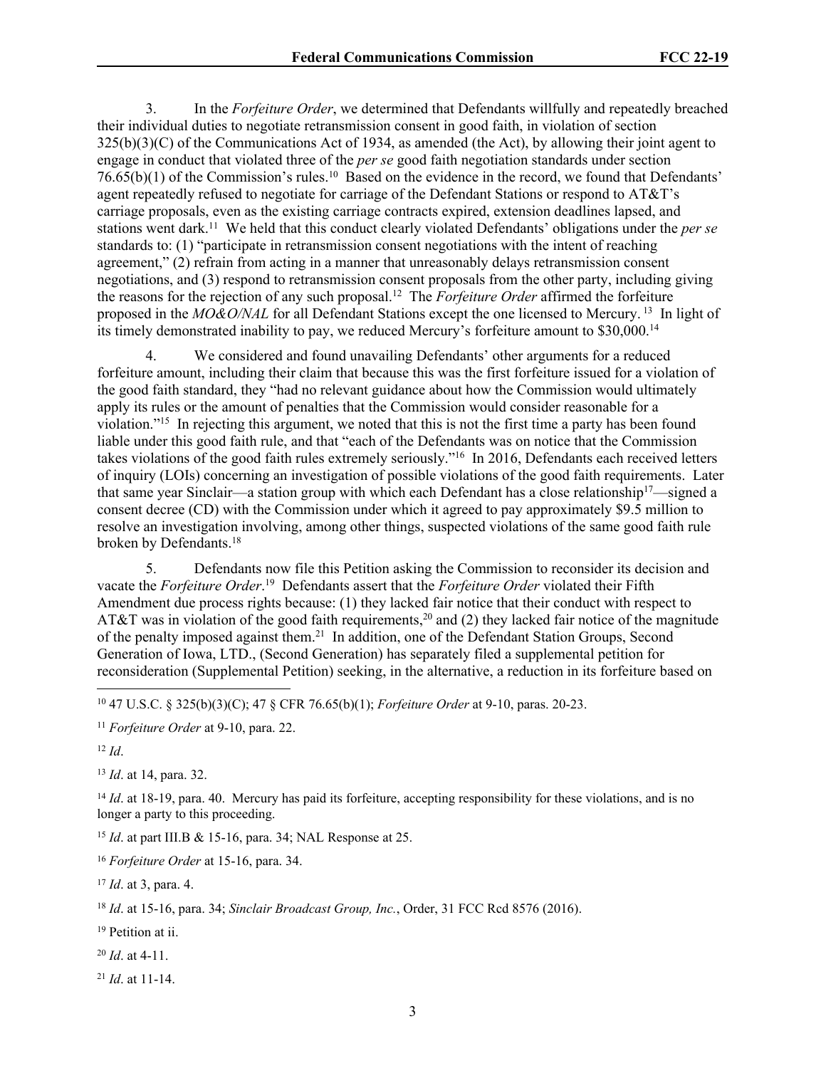3. In the *Forfeiture Order*, we determined that Defendants willfully and repeatedly breached their individual duties to negotiate retransmission consent in good faith, in violation of section  $325(b)(3)(C)$  of the Communications Act of 1934, as amended (the Act), by allowing their joint agent to engage in conduct that violated three of the *per se* good faith negotiation standards under section 76.65(b)(1) of the Commission's rules.<sup>10</sup> Based on the evidence in the record, we found that Defendants' agent repeatedly refused to negotiate for carriage of the Defendant Stations or respond to AT&T's carriage proposals, even as the existing carriage contracts expired, extension deadlines lapsed, and stations went dark.<sup>11</sup> We held that this conduct clearly violated Defendants' obligations under the *per se* standards to: (1) "participate in retransmission consent negotiations with the intent of reaching agreement," (2) refrain from acting in a manner that unreasonably delays retransmission consent negotiations, and (3) respond to retransmission consent proposals from the other party, including giving the reasons for the rejection of any such proposal.<sup>12</sup> The *Forfeiture Order* affirmed the forfeiture proposed in the *MO&O/NAL* for all Defendant Stations except the one licensed to Mercury.<sup>13</sup> In light of its timely demonstrated inability to pay, we reduced Mercury's forfeiture amount to \$30,000.<sup>14</sup>

4. We considered and found unavailing Defendants' other arguments for a reduced forfeiture amount, including their claim that because this was the first forfeiture issued for a violation of the good faith standard, they "had no relevant guidance about how the Commission would ultimately apply its rules or the amount of penalties that the Commission would consider reasonable for a violation."<sup>15</sup> In rejecting this argument, we noted that this is not the first time a party has been found liable under this good faith rule, and that "each of the Defendants was on notice that the Commission takes violations of the good faith rules extremely seriously."<sup>16</sup> In 2016, Defendants each received letters of inquiry (LOIs) concerning an investigation of possible violations of the good faith requirements. Later that same year Sinclair—a station group with which each Defendant has a close relationship<sup>17</sup>—signed a consent decree (CD) with the Commission under which it agreed to pay approximately \$9.5 million to resolve an investigation involving, among other things, suspected violations of the same good faith rule broken by Defendants.<sup>18</sup>

5. Defendants now file this Petition asking the Commission to reconsider its decision and vacate the *Forfeiture Order*. <sup>19</sup> Defendants assert that the *Forfeiture Order* violated their Fifth Amendment due process rights because: (1) they lacked fair notice that their conduct with respect to AT&T was in violation of the good faith requirements,<sup>20</sup> and (2) they lacked fair notice of the magnitude of the penalty imposed against them.<sup>21</sup> In addition, one of the Defendant Station Groups, Second Generation of Iowa, LTD., (Second Generation) has separately filed a supplemental petition for reconsideration (Supplemental Petition) seeking, in the alternative, a reduction in its forfeiture based on

<sup>10</sup> 47 U.S.C. § 325(b)(3)(C); 47 § CFR 76.65(b)(1); *Forfeiture Order* at 9-10, paras. 20-23.

<sup>11</sup> *Forfeiture Order* at 9-10, para. 22.

 $12$  *Id.* 

<sup>13</sup> *Id*. at 14, para. 32.

<sup>14</sup> *Id.* at 18-19, para. 40. Mercury has paid its forfeiture, accepting responsibility for these violations, and is no longer a party to this proceeding.

<sup>15</sup> *Id*. at part III.B & 15-16, para. 34; NAL Response at 25.

<sup>16</sup> *Forfeiture Order* at 15-16, para. 34.

<sup>17</sup> *Id*. at 3, para. 4.

<sup>18</sup> *Id*. at 15-16, para. 34; *Sinclair Broadcast Group, Inc.*, Order, 31 FCC Rcd 8576 (2016).

<sup>19</sup> Petition at ii.

<sup>20</sup> *Id*. at 4-11.

<sup>21</sup> *Id*. at 11-14.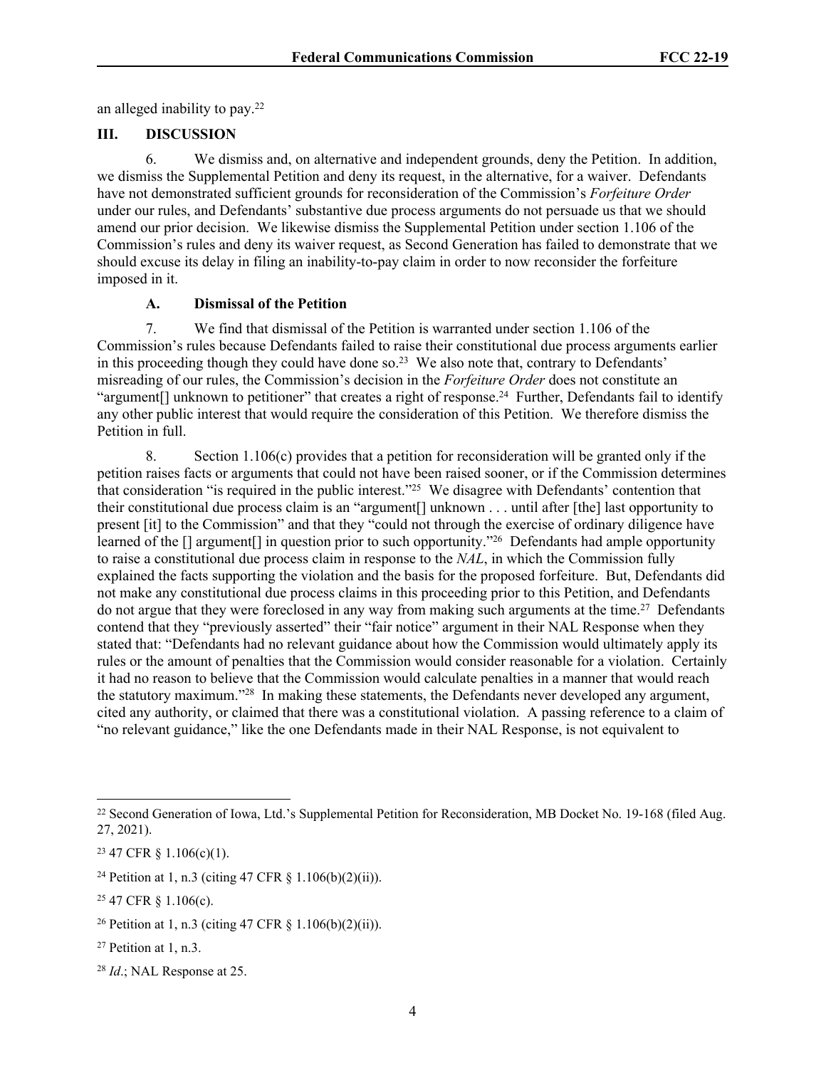an alleged inability to pay.<sup>22</sup>

## **III. DISCUSSION**

6. We dismiss and, on alternative and independent grounds, deny the Petition. In addition, we dismiss the Supplemental Petition and deny its request, in the alternative, for a waiver. Defendants have not demonstrated sufficient grounds for reconsideration of the Commission's *Forfeiture Order*  under our rules, and Defendants' substantive due process arguments do not persuade us that we should amend our prior decision. We likewise dismiss the Supplemental Petition under section 1.106 of the Commission's rules and deny its waiver request, as Second Generation has failed to demonstrate that we should excuse its delay in filing an inability-to-pay claim in order to now reconsider the forfeiture imposed in it.

## **A. Dismissal of the Petition**

7. We find that dismissal of the Petition is warranted under section 1.106 of the Commission's rules because Defendants failed to raise their constitutional due process arguments earlier in this proceeding though they could have done so.<sup>23</sup> We also note that, contrary to Defendants' misreading of our rules, the Commission's decision in the *Forfeiture Order* does not constitute an "argument<sup>[]</sup> unknown to petitioner" that creates a right of response.<sup>24</sup> Further, Defendants fail to identify any other public interest that would require the consideration of this Petition. We therefore dismiss the Petition in full.

8. Section  $1.106(c)$  provides that a petition for reconsideration will be granted only if the petition raises facts or arguments that could not have been raised sooner, or if the Commission determines that consideration "is required in the public interest."<sup>25</sup> We disagree with Defendants' contention that their constitutional due process claim is an "argument[] unknown . . . until after [the] last opportunity to present [it] to the [Commission"](https://www.law.cornell.edu/definitions/index.php?width=840&height=800&iframe=true&def_id=a6297a35c9ac3fd0044718728be4adbe&term_occur=999&term_src=Title:47:Chapter:I:Subchapter:A:Part:1:Subpart:A:Subjgrp:152:1.106) and that they "could not through the exercise of ordinary diligence have learned of the [] argument[] in question prior to such opportunity."<sup>26</sup> Defendants had ample opportunity to raise a constitutional due process claim in response to the *NAL*, in which the Commission fully explained the facts supporting the violation and the basis for the proposed forfeiture. But, Defendants did not make any constitutional due process claims in this proceeding prior to this Petition, and Defendants do not argue that they were foreclosed in any way from making such arguments at the time.<sup>27</sup> Defendants contend that they "previously asserted" their "fair notice" argument in their NAL Response when they stated that: "Defendants had no relevant guidance about how the Commission would ultimately apply its rules or the amount of penalties that the Commission would consider reasonable for a violation. Certainly it had no reason to believe that the Commission would calculate penalties in a manner that would reach the statutory maximum."<sup>28</sup> In making these statements, the Defendants never developed any argument, cited any authority, or claimed that there was a constitutional violation. A passing reference to a claim of "no relevant guidance," like the one Defendants made in their NAL Response, is not equivalent to

<sup>22</sup> Second Generation of Iowa, Ltd.'s Supplemental Petition for Reconsideration, MB Docket No. 19-168 (filed Aug. 27, 2021).

 $23$  47 CFR  $\S$  1.106(c)(1).

<sup>&</sup>lt;sup>24</sup> Petition at 1, n.3 (citing 47 CFR  $\S$  1.106(b)(2)(ii)).

<sup>25</sup> 47 CFR § 1.106(c).

<sup>&</sup>lt;sup>26</sup> Petition at 1, n.3 (citing 47 CFR  $\S$  1.106(b)(2)(ii)).

 $27$  Petition at 1, n.3.

<sup>28</sup> *Id*.; NAL Response at 25.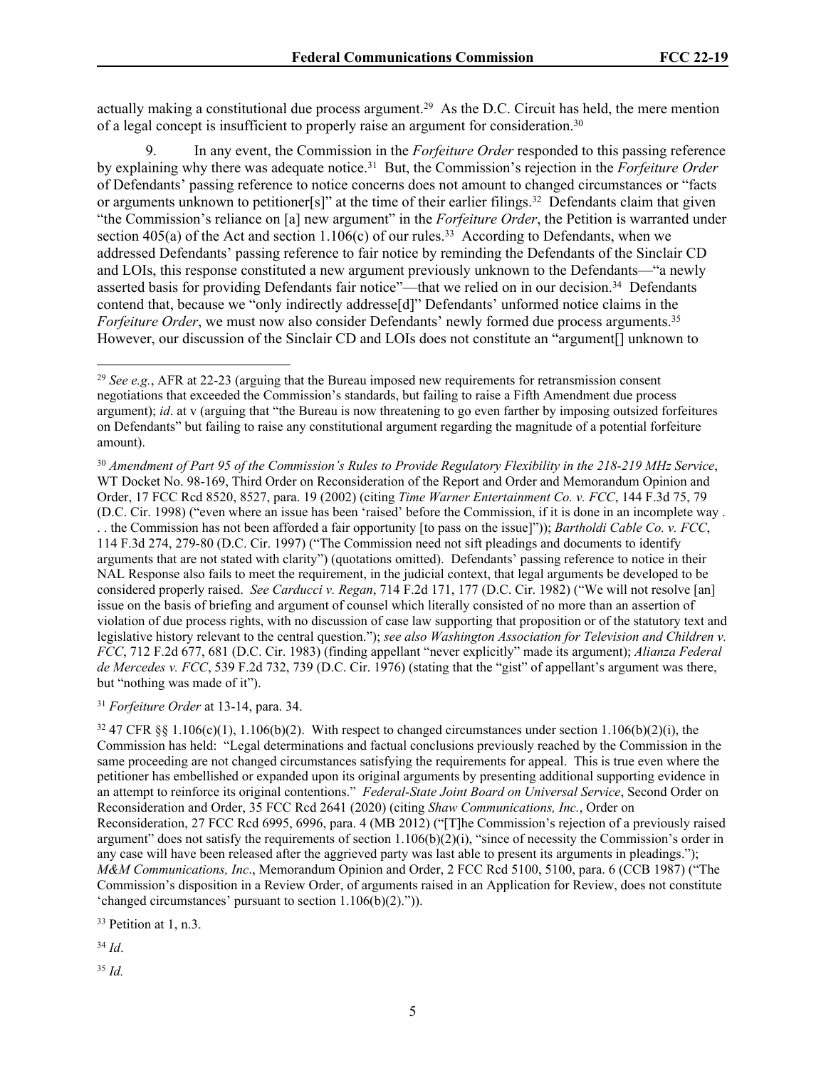actually making a constitutional due process argument.<sup>29</sup> As the D.C. Circuit has held, the mere mention of a legal concept is insufficient to properly raise an argument for consideration.<sup>30</sup>

9. In any event, the Commission in the *Forfeiture Order* responded to this passing reference by explaining why there was adequate notice.<sup>31</sup> But, the Commission's rejection in the *Forfeiture Order* of Defendants' passing reference to notice concerns does not amount to changed circumstances or "facts or arguments unknown to petitioner[s]" at the time of their earlier filings.<sup>32</sup> Defendants claim that given "the Commission's reliance on [a] new argument" in the *Forfeiture Order*, the Petition is warranted under section 405(a) of the Act and section  $1.106(c)$  of our rules.<sup>33</sup> According to Defendants, when we addressed Defendants' passing reference to fair notice by reminding the Defendants of the Sinclair CD and LOIs, this response constituted a new argument previously unknown to the Defendants—"a newly asserted basis for providing Defendants fair notice"—that we relied on in our decision.<sup>34</sup> Defendants contend that, because we "only indirectly addresse[d]" Defendants' unformed notice claims in the *Forfeiture Order*, we must now also consider Defendants' newly formed due process arguments.<sup>35</sup> However, our discussion of the Sinclair CD and LOIs does not constitute an "argument[] unknown to

<sup>30</sup> *Amendment of Part 95 of the Commission's Rules to Provide Regulatory Flexibility in the 218-219 MHz Service*, WT Docket No. 98-169, Third Order on Reconsideration of the Report and Order and Memorandum Opinion and Order, 17 FCC Rcd 8520, 8527, para. 19 (2002) (citing *Time Warner Entertainment Co. v. FCC*, 144 F.3d 75, 79 (D.C. Cir. 1998) ("even where an issue has been 'raised' before the Commission, if it is done in an incomplete way . . . the Commission has not been afforded a fair opportunity [to pass on the issue]")); *Bartholdi Cable Co. v. FCC*, 114 F.3d 274, 279-80 (D.C. Cir. 1997) ("The Commission need not sift pleadings and documents to identify arguments that are not stated with clarity") (quotations omitted). Defendants' passing reference to notice in their NAL Response also fails to meet the requirement, in the judicial context, that legal arguments be developed to be considered properly raised. *See Carducci v. Regan*, 714 F.2d 171, 177 (D.C. Cir. 1982) ("We will not resolve [an] issue on the basis of briefing and argument of counsel which literally consisted of no more than an assertion of violation of due process rights, with no discussion of case law supporting that proposition or of the statutory text and legislative history relevant to the central question."); *see also Washington Association for Television and Children v. FCC*, 712 F.2d 677, 681 (D.C. Cir. 1983) (finding appellant "never explicitly" made its argument); *Alianza Federal de Mercedes v. FCC*, 539 F.2d 732, 739 (D.C. Cir. 1976) (stating that the "gist" of appellant's argument was there, but "nothing was made of it").

<sup>31</sup> *Forfeiture Order* at 13-14, para. 34.

<sup>32</sup> 47 CFR §§ 1.106(c)(1), 1.106(b)(2). With respect to changed circumstances under section 1.106(b)(2)(i), the Commission has held: "Legal determinations and factual conclusions previously reached by the Commission in the same proceeding are not changed circumstances satisfying the requirements for appeal. This is true even where the petitioner has embellished or expanded upon its original arguments by presenting additional supporting evidence in an attempt to reinforce its original contentions." *Federal-State Joint Board on Universal Service*, Second Order on Reconsideration and Order, 35 FCC Rcd 2641 (2020) (citing *Shaw Communications, Inc.*, Order on Reconsideration, 27 FCC Rcd 6995, 6996, para. 4 (MB 2012) ("[T]he Commission's rejection of a previously raised argument" does not satisfy the requirements of section 1.106(b)(2)(i), "since of necessity the Commission's order in any case will have been released after the aggrieved party was last able to present its arguments in pleadings."); *M&M Communications, Inc*., Memorandum Opinion and Order, 2 FCC Rcd 5100, 5100, para. 6 (CCB 1987) ("The Commission's disposition in a Review Order, of arguments raised in an Application for Review, does not constitute 'changed circumstances' pursuant to section 1.106(b)(2).")).

<sup>33</sup> Petition at 1, n.3.

<sup>34</sup> *Id*.

<sup>35</sup> *Id.*

<sup>29</sup> *See e.g.*, AFR at 22-23 (arguing that the Bureau imposed new requirements for retransmission consent negotiations that exceeded the Commission's standards, but failing to raise a Fifth Amendment due process argument); *id*. at v (arguing that "the Bureau is now threatening to go even farther by imposing outsized forfeitures on Defendants" but failing to raise any constitutional argument regarding the magnitude of a potential forfeiture amount).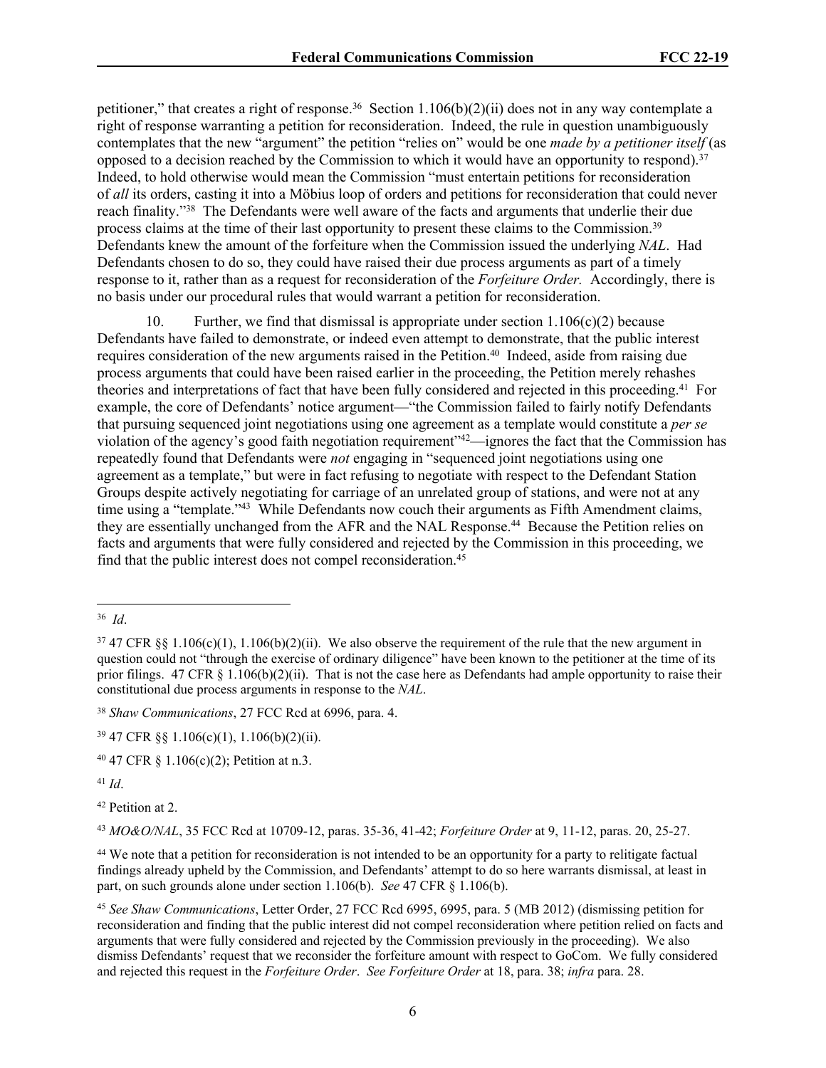petitioner," that creates a right of response.<sup>36</sup> Section 1.106(b)(2)(ii) does not in any way contemplate a right of response warranting a petition for reconsideration. Indeed, the rule in question unambiguously contemplates that the new "argument" the petition "relies on" would be one *made by a petitioner itself* (as opposed to a decision reached by the Commission to which it would have an opportunity to respond).<sup>37</sup> Indeed, to hold otherwise would mean the Commission "must entertain petitions for reconsideration of *all* its orders, casting it into a Möbius loop of orders and petitions for reconsideration that could never reach finality."<sup>38</sup> The Defendants were well aware of the facts and arguments that underlie their due process claims at the time of their last opportunity to present these claims to the Commission.<sup>39</sup> Defendants knew the amount of the forfeiture when the Commission issued the underlying *NAL*. Had Defendants chosen to do so, they could have raised their due process arguments as part of a timely response to it, rather than as a request for reconsideration of the *Forfeiture Order.* Accordingly, there is no basis under our procedural rules that would warrant a petition for reconsideration.

10. Further, we find that dismissal is appropriate under section 1.106(c)(2) because Defendants have failed to demonstrate, or indeed even attempt to demonstrate, that the public interest requires consideration of the new arguments raised in the Petition.<sup>40</sup> Indeed, aside from raising due process arguments that could have been raised earlier in the proceeding, the Petition merely rehashes theories and interpretations of fact that have been fully considered and rejected in this proceeding.<sup>41</sup> For example, the core of Defendants' notice argument—"the Commission failed to fairly notify Defendants that pursuing sequenced joint negotiations using one agreement as a template would constitute a *per se* violation of the agency's good faith negotiation requirement"<sup>42</sup>—ignores the fact that the Commission has repeatedly found that Defendants were *not* engaging in "sequenced joint negotiations using one agreement as a template," but were in fact refusing to negotiate with respect to the Defendant Station Groups despite actively negotiating for carriage of an unrelated group of stations, and were not at any time using a "template."<sup>43</sup> While Defendants now couch their arguments as Fifth Amendment claims. they are essentially unchanged from the AFR and the NAL Response.<sup>44</sup> Because the Petition relies on facts and arguments that were fully considered and rejected by the Commission in this proceeding, we find that the public interest does not compel reconsideration.<sup>45</sup>

<sup>38</sup> *Shaw Communications*, 27 FCC Rcd at 6996, para. 4.

<sup>39</sup> 47 CFR §§ 1.106(c)(1), 1.106(b)(2)(ii).

 $40\,47$  CFR  $\S$  1.106(c)(2); Petition at n.3.

<sup>41</sup> *Id*.

<sup>42</sup> Petition at 2.

<sup>43</sup> *MO&O/NAL*, 35 FCC Rcd at 10709-12, paras. 35-36, 41-42; *Forfeiture Order* at 9, 11-12, paras. 20, 25-27.

<sup>44</sup> We note that a petition for reconsideration is not intended to be an opportunity for a party to relitigate factual findings already upheld by the Commission, and Defendants' attempt to do so here warrants dismissal, at least in part, on such grounds alone under section 1.106(b). *See* 47 CFR § 1.106(b).

<sup>45</sup> *See Shaw Communications*, Letter Order, 27 FCC Rcd 6995, 6995, para. 5 (MB 2012) (dismissing petition for reconsideration and finding that the public interest did not compel reconsideration where petition relied on facts and arguments that were fully considered and rejected by the Commission previously in the proceeding). We also dismiss Defendants' request that we reconsider the forfeiture amount with respect to GoCom. We fully considered and rejected this request in the *Forfeiture Order*. *See Forfeiture Order* at 18, para. 38; *infra* para. 28.

<sup>36</sup> *Id*.

 $37\,47$  CFR §§ 1.106(c)(1), 1.106(b)(2)(ii). We also observe the requirement of the rule that the new argument in question could not "through the exercise of ordinary diligence" have been known to the petitioner at the time of its prior filings. 47 CFR § 1.106(b)(2)(ii). That is not the case here as Defendants had ample opportunity to raise their constitutional due process arguments in response to the *NAL*.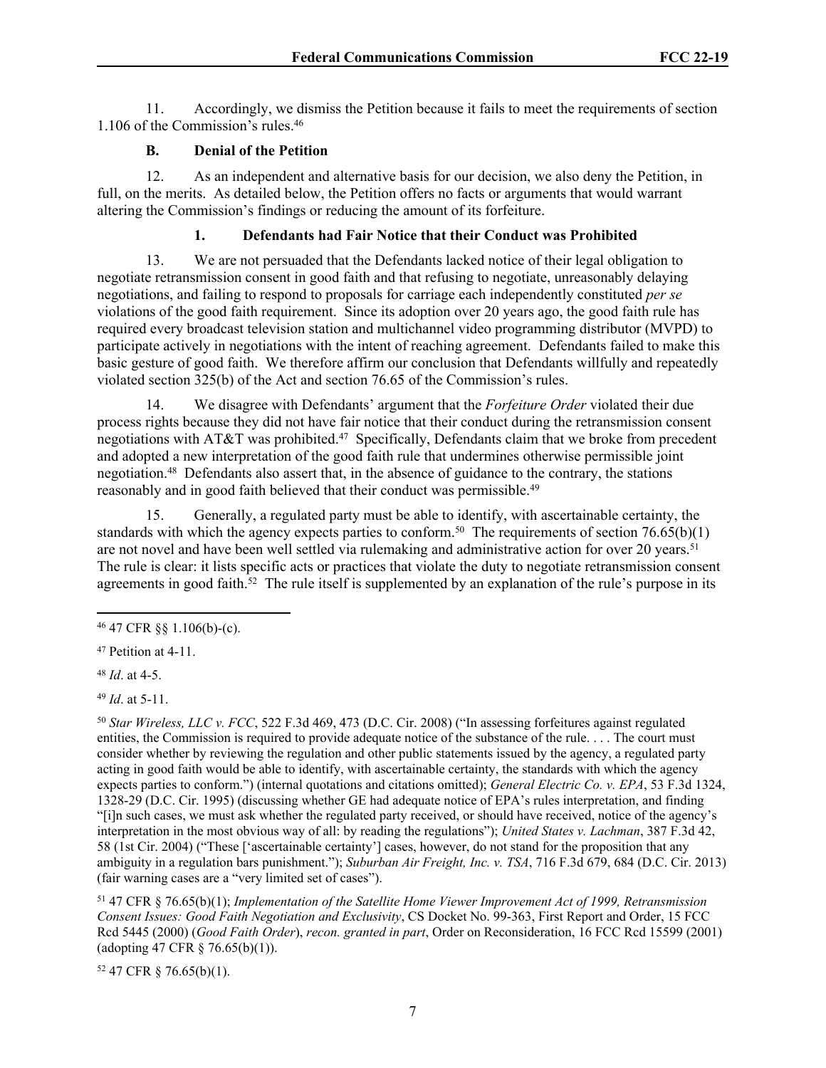11. Accordingly, we dismiss the Petition because it fails to meet the requirements of section 1.106 of the Commission's rules.<sup>46</sup>

## **B. Denial of the Petition**

12. As an independent and alternative basis for our decision, we also deny the Petition, in full, on the merits. As detailed below, the Petition offers no facts or arguments that would warrant altering the Commission's findings or reducing the amount of its forfeiture.

## **1. Defendants had Fair Notice that their Conduct was Prohibited**

13. We are not persuaded that the Defendants lacked notice of their legal obligation to negotiate retransmission consent in good faith and that refusing to negotiate, unreasonably delaying negotiations, and failing to respond to proposals for carriage each independently constituted *per se* violations of the good faith requirement. Since its adoption over 20 years ago, the good faith rule has required every broadcast television station and multichannel video programming distributor (MVPD) to participate actively in negotiations with the intent of reaching agreement. Defendants failed to make this basic gesture of good faith. We therefore affirm our conclusion that Defendants willfully and repeatedly violated section 325(b) of the Act and section 76.65 of the Commission's rules.

14. We disagree with Defendants' argument that the *Forfeiture Order* violated their due process rights because they did not have fair notice that their conduct during the retransmission consent negotiations with AT&T was prohibited.<sup>47</sup> Specifically, Defendants claim that we broke from precedent and adopted a new interpretation of the good faith rule that undermines otherwise permissible joint negotiation.<sup>48</sup> Defendants also assert that, in the absence of guidance to the contrary, the stations reasonably and in good faith believed that their conduct was permissible.<sup>49</sup>

15. Generally, a regulated party must be able to identify, with ascertainable certainty, the standards with which the agency expects parties to conform.<sup>50</sup> The requirements of section  $76.65(b)(1)$ are not novel and have been well settled via rulemaking and administrative action for over 20 years.<sup>51</sup> The rule is clear: it lists specific acts or practices that violate the duty to negotiate retransmission consent agreements in good faith.<sup>52</sup> The rule itself is supplemented by an explanation of the rule's purpose in its

<sup>48</sup> *Id*. at 4-5.

<sup>49</sup> *Id*. at 5-11.

<sup>50</sup> *Star Wireless, LLC v. FCC*, 522 F.3d 469, 473 (D.C. Cir. 2008) ("In assessing forfeitures against regulated entities, the Commission is required to provide adequate notice of the substance of the rule. . . . The court must consider whether by reviewing the regulation and other public statements issued by the agency, a regulated party acting in good faith would be able to identify, with ascertainable certainty, the standards with which the agency expects parties to conform.") (internal quotations and citations omitted); *General Electric Co. v. EPA*, 53 F.3d 1324, 1328-29 (D.C. Cir. 1995) (discussing whether GE had adequate notice of EPA's rules interpretation, and finding "[i]n such cases, we must ask whether the regulated party received, or should have received, notice of the agency's interpretation in the most obvious way of all: by reading the regulations"); *United States v. Lachman*, 387 F.3d 42, 58 (1st Cir. 2004) ("These ['ascertainable certainty'] cases, however, do not stand for the proposition that any ambiguity in a regulation bars punishment."); *Suburban Air Freight, Inc. v. TSA*, 716 F.3d 679, 684 (D.C. Cir. 2013) (fair warning cases are a "very limited set of cases").

<sup>51</sup> 47 CFR § 76.65(b)(1); *Implementation of the Satellite Home Viewer Improvement Act of 1999, Retransmission Consent Issues: Good Faith Negotiation and Exclusivity*, CS Docket No. 99-363, First Report and Order, 15 FCC Rcd 5445 (2000) (*Good Faith Order*), *recon. granted in part*, Order on Reconsideration, 16 FCC Rcd 15599 (2001) (adopting 47 CFR § 76.65(b)(1)).

52 47 CFR § 76.65(b)(1).

<sup>46</sup> 47 CFR §§ 1.106(b)-(c).

<sup>47</sup> Petition at 4-11.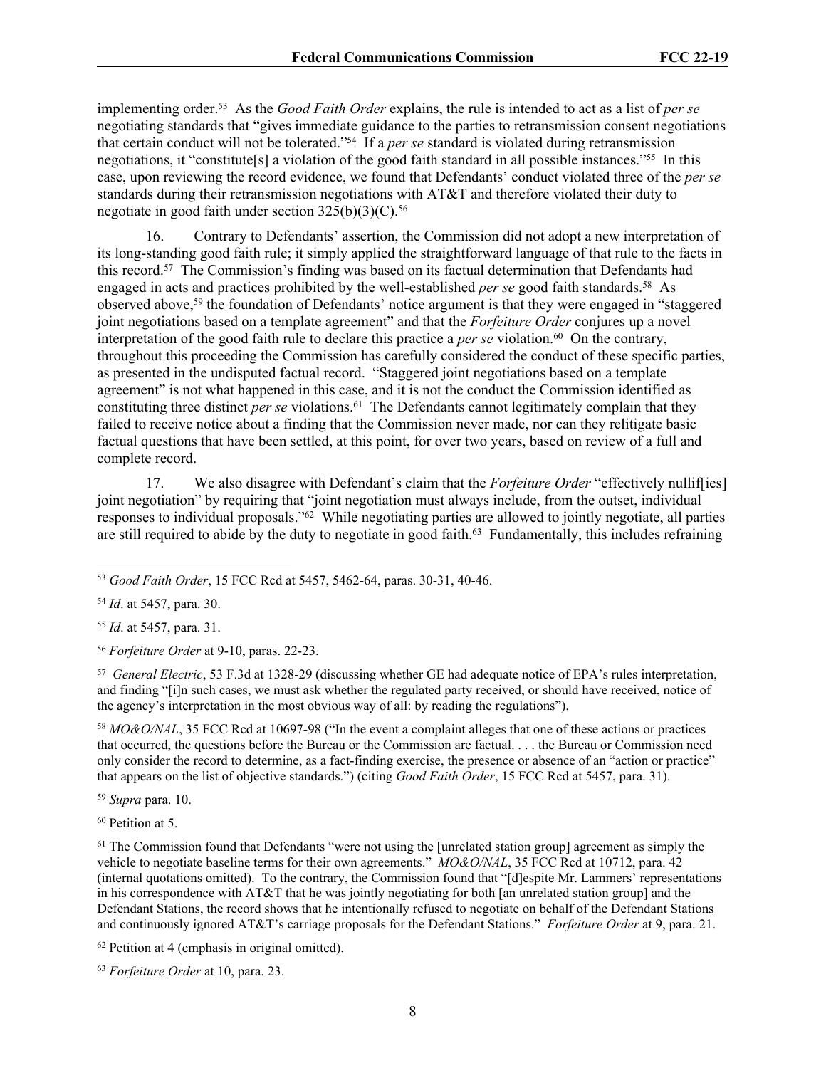implementing order.<sup>53</sup> As the *Good Faith Order* explains, the rule is intended to act as a list of *per se*  negotiating standards that "gives immediate guidance to the parties to retransmission consent negotiations that certain conduct will not be tolerated."<sup>54</sup> If a *per se* standard is violated during retransmission negotiations, it "constitute[s] a violation of the good faith standard in all possible instances."<sup>55</sup> In this case, upon reviewing the record evidence, we found that Defendants' conduct violated three of the *per se* standards during their retransmission negotiations with AT&T and therefore violated their duty to negotiate in good faith under section  $325(b)(3)(C)$ .<sup>56</sup>

16. Contrary to Defendants' assertion, the Commission did not adopt a new interpretation of its long-standing good faith rule; it simply applied the straightforward language of that rule to the facts in this record.<sup>57</sup> The Commission's finding was based on its factual determination that Defendants had engaged in acts and practices prohibited by the well-established *per se* good faith standards.<sup>58</sup> As observed above,<sup>59</sup> the foundation of Defendants' notice argument is that they were engaged in "staggered joint negotiations based on a template agreement" and that the *Forfeiture Order* conjures up a novel interpretation of the good faith rule to declare this practice a *per se* violation.<sup>60</sup> On the contrary, throughout this proceeding the Commission has carefully considered the conduct of these specific parties, as presented in the undisputed factual record. "Staggered joint negotiations based on a template agreement" is not what happened in this case, and it is not the conduct the Commission identified as constituting three distinct *per se* violations.<sup>61</sup> The Defendants cannot legitimately complain that they failed to receive notice about a finding that the Commission never made, nor can they relitigate basic factual questions that have been settled, at this point, for over two years, based on review of a full and complete record.

17. We also disagree with Defendant's claim that the *Forfeiture Order* "effectively nullif[ies] joint negotiation" by requiring that "joint negotiation must always include, from the outset, individual responses to individual proposals."<sup>62</sup> While negotiating parties are allowed to jointly negotiate, all parties are still required to abide by the duty to negotiate in good faith.<sup>63</sup> Fundamentally, this includes refraining

<sup>55</sup> *Id*. at 5457, para. 31.

<sup>56</sup> *Forfeiture Order* at 9-10, paras. 22-23.

57 *General Electric*, 53 F.3d at 1328-29 (discussing whether GE had adequate notice of EPA's rules interpretation, and finding "[i]n such cases, we must ask whether the regulated party received, or should have received, notice of the agency's interpretation in the most obvious way of all: by reading the regulations").

<sup>58</sup> *MO&O/NAL*, 35 FCC Rcd at 10697-98 ("In the event a complaint alleges that one of these actions or practices that occurred, the questions before the Bureau or the Commission are factual. . . . the Bureau or Commission need only consider the record to determine, as a fact-finding exercise, the presence or absence of an "action or practice" that appears on the list of objective standards.") (citing *Good Faith Order*, 15 FCC Rcd at 5457, para. 31).

<sup>59</sup> *Supra* para. 10.

<sup>60</sup> Petition at 5.

<sup>61</sup> The Commission found that Defendants "were not using the [unrelated station group] agreement as simply the vehicle to negotiate baseline terms for their own agreements." *MO&O/NAL*, 35 FCC Rcd at 10712, para. 42 (internal quotations omitted). To the contrary, the Commission found that "[d]espite Mr. Lammers' representations in his correspondence with AT&T that he was jointly negotiating for both [an unrelated station group] and the Defendant Stations, the record shows that he intentionally refused to negotiate on behalf of the Defendant Stations and continuously ignored AT&T's carriage proposals for the Defendant Stations." *Forfeiture Order* at 9, para. 21.

<sup>62</sup> Petition at 4 (emphasis in original omitted).

<sup>63</sup> *Forfeiture Order* at 10, para. 23.

<sup>53</sup> *Good Faith Order*, 15 FCC Rcd at 5457, 5462-64, paras. 30-31, 40-46.

<sup>54</sup> *Id*. at 5457, para. 30.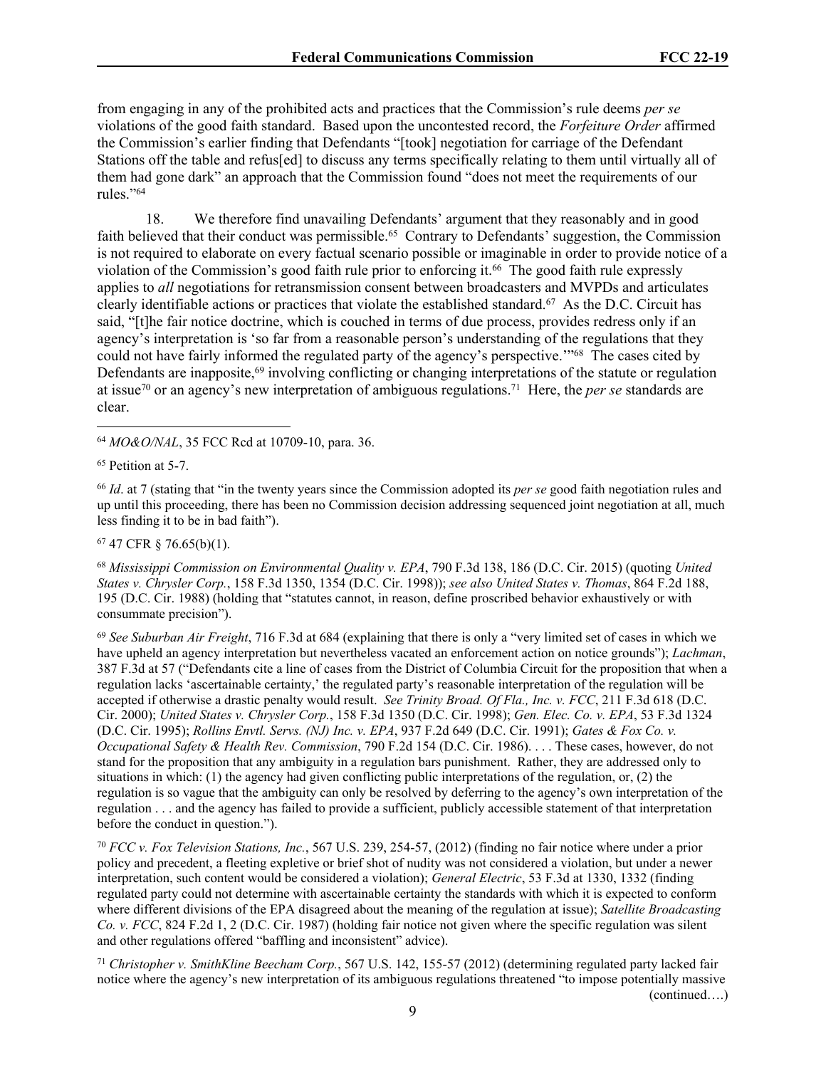from engaging in any of the prohibited acts and practices that the Commission's rule deems *per se* violations of the good faith standard. Based upon the uncontested record, the *Forfeiture Order* affirmed the Commission's earlier finding that Defendants "[took] negotiation for carriage of the Defendant Stations off the table and refus[ed] to discuss any terms specifically relating to them until virtually all of them had gone dark" an approach that the Commission found "does not meet the requirements of our rules."<sup>64</sup>

18. We therefore find unavailing Defendants' argument that they reasonably and in good faith believed that their conduct was permissible.<sup>65</sup> Contrary to Defendants' suggestion, the Commission is not required to elaborate on every factual scenario possible or imaginable in order to provide notice of a violation of the Commission's good faith rule prior to enforcing it.<sup>66</sup> The good faith rule expressly applies to *all* negotiations for retransmission consent between broadcasters and MVPDs and articulates clearly identifiable actions or practices that violate the established standard.<sup>67</sup> As the D.C. Circuit has said, "[t]he fair notice doctrine, which is couched in terms of due process, provides redress only if an agency's interpretation is 'so far from a reasonable person's understanding of the regulations that they could not have fairly informed the regulated party of the agency's perspective."<sup>68</sup> The cases cited by Defendants are inapposite,<sup>69</sup> involving conflicting or changing interpretations of the statute or regulation at issue<sup>70</sup> or an agency's new interpretation of ambiguous regulations.<sup>71</sup> Here, the *per se* standards are clear.

<sup>64</sup> *MO&O/NAL*, 35 FCC Rcd at 10709-10, para. 36.

<sup>65</sup> Petition at 5-7.

<sup>66</sup> *Id*. at 7 (stating that "in the twenty years since the Commission adopted its *per se* good faith negotiation rules and up until this proceeding, there has been no Commission decision addressing sequenced joint negotiation at all, much less finding it to be in bad faith").

<sup>67</sup> 47 CFR § 76.65(b)(1).

<sup>68</sup> *Mississippi Commission on Environmental Quality v. EPA*, 790 F.3d 138, 186 (D.C. Cir. 2015) (quoting *United States v. Chrysler Corp.*, 158 F.3d 1350, 1354 (D.C. Cir. 1998)); *see also United States v. Thomas*, 864 F.2d 188, 195 (D.C. Cir. 1988) (holding that "statutes cannot, in reason, define proscribed behavior exhaustively or with consummate precision").

<sup>69</sup> *See Suburban Air Freight*, 716 F.3d at 684 (explaining that there is only a "very limited set of cases in which we have upheld an agency interpretation but nevertheless vacated an enforcement action on notice grounds"); *Lachman*, 387 F.3d at 57 ("Defendants cite a line of cases from the District of Columbia Circuit for the proposition that when a regulation lacks 'ascertainable certainty,' the regulated party's reasonable interpretation of the regulation will be accepted if otherwise a drastic penalty would result. *See Trinity Broad. Of Fla., Inc. v. FCC*, 211 F.3d 618 (D.C. Cir. 2000); *United States v. Chrysler Corp.*, 158 F.3d 1350 (D.C. Cir. 1998); *Gen. Elec. Co. v. EPA*, 53 F.3d 1324 (D.C. Cir. 1995); *Rollins Envtl. Servs. (NJ) Inc. v. EPA*, 937 F.2d 649 (D.C. Cir. 1991); *Gates & Fox Co. v. Occupational Safety & Health Rev. Commission*, 790 F.2d 154 (D.C. Cir. 1986). . . . These cases, however, do not stand for the proposition that any ambiguity in a regulation bars punishment. Rather, they are addressed only to situations in which: (1) the agency had given conflicting public interpretations of the regulation, or, (2) the regulation is so vague that the ambiguity can only be resolved by deferring to the agency's own interpretation of the regulation . . . and the agency has failed to provide a sufficient, publicly accessible statement of that interpretation before the conduct in question.").

<sup>70</sup> *FCC v. Fox Television Stations, Inc.*, 567 U.S. 239, 254-57, (2012) (finding no fair notice where under a prior policy and precedent, a fleeting expletive or brief shot of nudity was not considered a violation, but under a newer interpretation, such content would be considered a violation); *General Electric*, 53 F.3d at 1330, 1332 (finding regulated party could not determine with ascertainable certainty the standards with which it is expected to conform where different divisions of the EPA disagreed about the meaning of the regulation at issue); *Satellite Broadcasting Co. v. FCC*, 824 F.2d 1, 2 (D.C. Cir. 1987) (holding fair notice not given where the specific regulation was silent and other regulations offered "baffling and inconsistent" advice).

<sup>71</sup> *Christopher v. SmithKline Beecham Corp.*, 567 U.S. 142, 155-57 (2012) (determining regulated party lacked fair notice where the agency's new interpretation of its ambiguous regulations threatened "to impose potentially massive (continued….)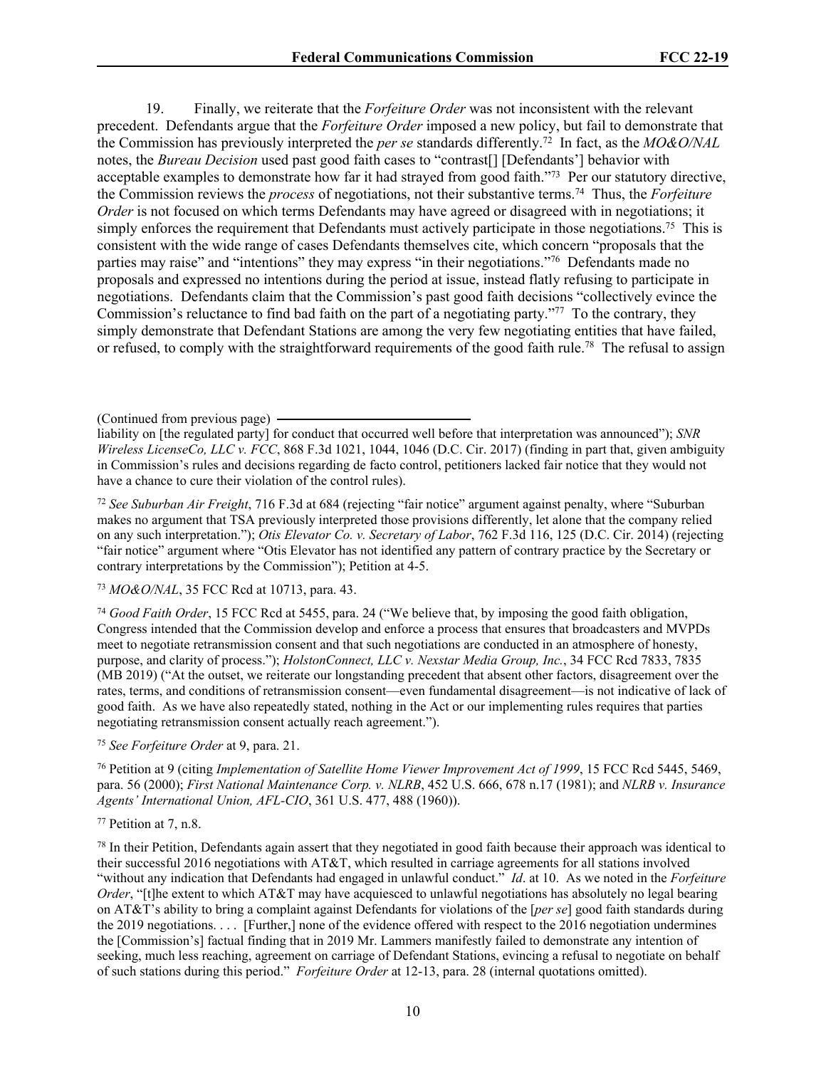19. Finally, we reiterate that the *Forfeiture Order* was not inconsistent with the relevant precedent. Defendants argue that the *Forfeiture Order* imposed a new policy, but fail to demonstrate that the Commission has previously interpreted the *per se* standards differently.<sup>72</sup> In fact, as the *MO&O/NAL* notes, the *Bureau Decision* used past good faith cases to "contrast[] [Defendants'] behavior with acceptable examples to demonstrate how far it had strayed from good faith."<sup>73</sup> Per our statutory directive, the Commission reviews the *process* of negotiations, not their substantive terms.<sup>74</sup> Thus, the *Forfeiture Order* is not focused on which terms Defendants may have agreed or disagreed with in negotiations; it simply enforces the requirement that Defendants must actively participate in those negotiations.<sup>75</sup> This is consistent with the wide range of cases Defendants themselves cite, which concern "proposals that the parties may raise" and "intentions" they may express "in their negotiations."<sup>76</sup> Defendants made no proposals and expressed no intentions during the period at issue, instead flatly refusing to participate in negotiations. Defendants claim that the Commission's past good faith decisions "collectively evince the Commission's reluctance to find bad faith on the part of a negotiating party."<sup>77</sup> To the contrary, they simply demonstrate that Defendant Stations are among the very few negotiating entities that have failed, or refused, to comply with the straightforward requirements of the good faith rule.<sup>78</sup> The refusal to assign

<sup>72</sup> *See Suburban Air Freight*, 716 F.3d at 684 (rejecting "fair notice" argument against penalty, where "Suburban makes no argument that TSA previously interpreted those provisions differently, let alone that the company relied on any such interpretation."); *Otis Elevator Co. v. Secretary of Labor*, 762 F.3d 116, 125 (D.C. Cir. 2014) (rejecting "fair notice" argument where "Otis Elevator has not identified any pattern of contrary practice by the Secretary or contrary interpretations by the Commission"); Petition at 4-5.

<sup>73</sup> *MO&O/NAL*, 35 FCC Rcd at 10713, para. 43.

<sup>74</sup> *Good Faith Order*, 15 FCC Rcd at 5455, para. 24 ("We believe that, by imposing the good faith obligation, Congress intended that the Commission develop and enforce a process that ensures that broadcasters and MVPDs meet to negotiate retransmission consent and that such negotiations are conducted in an atmosphere of honesty, purpose, and clarity of process."); *HolstonConnect, LLC v. Nexstar Media Group, Inc.*, 34 FCC Rcd 7833, 7835 (MB 2019) ("At the outset, we reiterate our longstanding precedent that absent other factors, disagreement over the rates, terms, and conditions of retransmission consent—even fundamental disagreement—is not indicative of lack of good faith. As we have also repeatedly stated, nothing in the Act or our implementing rules requires that parties negotiating retransmission consent actually reach agreement.").

<sup>75</sup> *See Forfeiture Order* at 9, para. 21.

<sup>76</sup> Petition at 9 (citing *Implementation of Satellite Home Viewer Improvement Act of 1999*, 15 FCC Rcd 5445, 5469, para. 56 (2000); *First National Maintenance Corp. v. NLRB*, 452 U.S. 666, 678 n.17 (1981); and *NLRB v. Insurance Agents' International Union, AFL-CIO*, 361 U.S. 477, 488 (1960)).

#### <sup>77</sup> Petition at 7, n.8.

 $78$  In their Petition, Defendants again assert that they negotiated in good faith because their approach was identical to their successful 2016 negotiations with AT&T, which resulted in carriage agreements for all stations involved "without any indication that Defendants had engaged in unlawful conduct." *Id*. at 10. As we noted in the *Forfeiture Order*, "[t]he extent to which AT&T may have acquiesced to unlawful negotiations has absolutely no legal bearing on AT&T's ability to bring a complaint against Defendants for violations of the [*per se*] good faith standards during the 2019 negotiations. . . . [Further,] none of the evidence offered with respect to the 2016 negotiation undermines the [Commission's] factual finding that in 2019 Mr. Lammers manifestly failed to demonstrate any intention of seeking, much less reaching, agreement on carriage of Defendant Stations, evincing a refusal to negotiate on behalf of such stations during this period." *Forfeiture Order* at 12-13, para. 28 (internal quotations omitted).

<sup>(</sup>Continued from previous page)

liability on [the regulated party] for conduct that occurred well before that interpretation was announced"); *SNR Wireless LicenseCo, LLC v. FCC*, 868 F.3d 1021, 1044, 1046 (D.C. Cir. 2017) (finding in part that, given ambiguity in Commission's rules and decisions regarding de facto control, petitioners lacked fair notice that they would not have a chance to cure their violation of the control rules).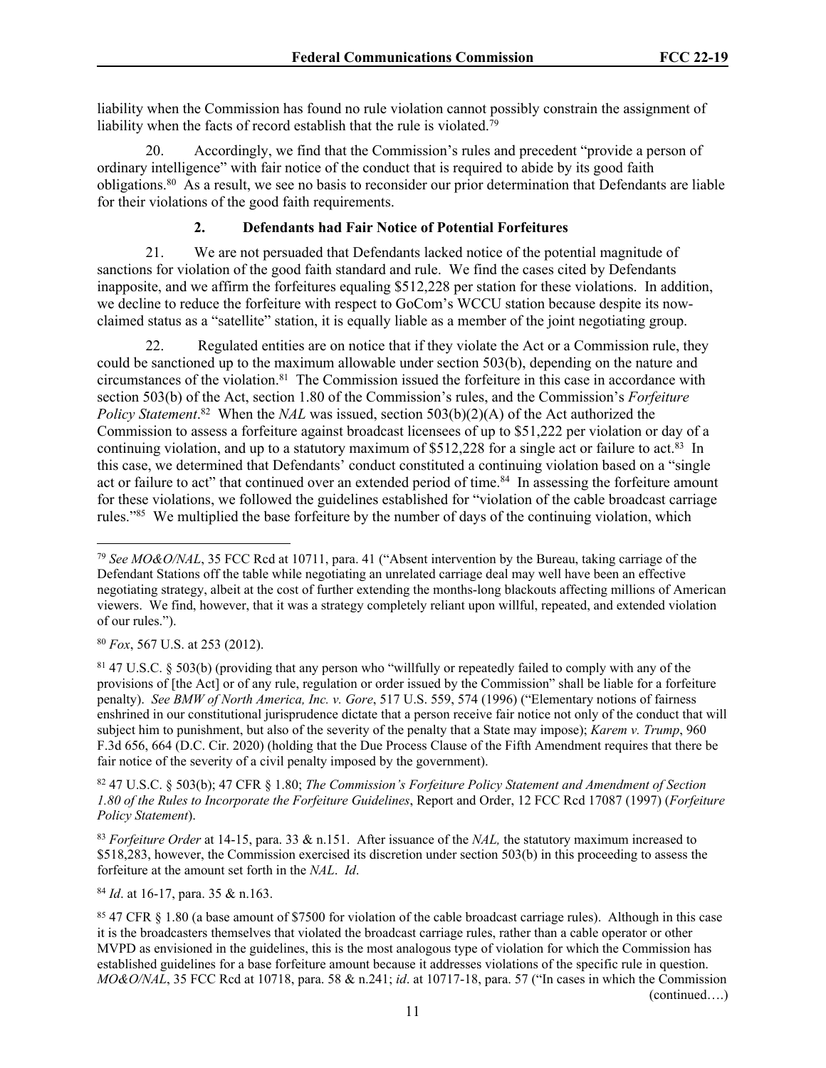liability when the Commission has found no rule violation cannot possibly constrain the assignment of liability when the facts of record establish that the rule is violated.<sup>79</sup>

20. Accordingly, we find that the Commission's rules and precedent "provide a person of ordinary intelligence" with fair notice of the conduct that is required to abide by its good faith obligations.<sup>80</sup> As a result, we see no basis to reconsider our prior determination that Defendants are liable for their violations of the good faith requirements.

# **2. Defendants had Fair Notice of Potential Forfeitures**

21. We are not persuaded that Defendants lacked notice of the potential magnitude of sanctions for violation of the good faith standard and rule. We find the cases cited by Defendants inapposite, and we affirm the forfeitures equaling \$512,228 per station for these violations. In addition, we decline to reduce the forfeiture with respect to GoCom's WCCU station because despite its nowclaimed status as a "satellite" station, it is equally liable as a member of the joint negotiating group.

22. Regulated entities are on notice that if they violate the Act or a Commission rule, they could be sanctioned up to the maximum allowable under section 503(b), depending on the nature and circumstances of the violation.<sup>81</sup> The Commission issued the forfeiture in this case in accordance with section 503(b) of the Act, section 1.80 of the Commission's rules, and the Commission's *Forfeiture Policy Statement*.<sup>82</sup> When the *NAL* was issued, section 503(b)(2)(A) of the Act authorized the Commission to assess a forfeiture against broadcast licensees of up to \$51,222 per violation or day of a continuing violation, and up to a statutory maximum of  $$512,228$  for a single act or failure to act.<sup>83</sup> In this case, we determined that Defendants' conduct constituted a continuing violation based on a "single act or failure to act" that continued over an extended period of time.<sup>84</sup> In assessing the forfeiture amount for these violations, we followed the guidelines established for "violation of the cable broadcast carriage rules."<sup>85</sup> We multiplied the base forfeiture by the number of days of the continuing violation, which

<sup>80</sup> *Fox*, 567 U.S. at 253 (2012).

<sup>81</sup> 47 U.S.C. § 503(b) (providing that any person who "willfully or repeatedly failed to comply with any of the provisions of [the Act] or of any rule, regulation or order issued by the Commission" shall be liable for a forfeiture penalty). *See BMW of North America, Inc. v. Gore*, 517 U.S. 559, 574 (1996) ("Elementary notions of fairness enshrined in our constitutional jurisprudence dictate that a person receive fair notice not only of the conduct that will subject him to punishment, but also of the severity of the penalty that a State may impose); *Karem v. Trump*, 960 F.3d 656, 664 (D.C. Cir. 2020) (holding that the Due Process Clause of the Fifth Amendment requires that there be fair notice of the severity of a civil penalty imposed by the government).

<sup>82</sup> 47 U.S.C. § 503(b); 47 CFR § 1.80; *The Commission's Forfeiture Policy Statement and Amendment of Section 1.80 of the Rules to Incorporate the Forfeiture Guidelines*, Report and Order, 12 FCC Rcd 17087 (1997) (*Forfeiture Policy Statement*).

<sup>83</sup> *Forfeiture Order* at 14-15, para. 33 & n.151. After issuance of the *NAL,* the statutory maximum increased to \$518,283, however, the Commission exercised its discretion under section 503(b) in this proceeding to assess the forfeiture at the amount set forth in the *NAL*. *Id*.

<sup>84</sup> *Id*. at 16-17, para. 35 & n.163.

<sup>85</sup> 47 CFR § 1.80 (a base amount of \$7500 for violation of the cable broadcast carriage rules). Although in this case it is the broadcasters themselves that violated the broadcast carriage rules, rather than a cable operator or other MVPD as envisioned in the guidelines, this is the most analogous type of violation for which the Commission has established guidelines for a base forfeiture amount because it addresses violations of the specific rule in question. *MO&O/NAL*, 35 FCC Rcd at 10718, para. 58 & n.241; *id*. at 10717-18, para. 57 ("In cases in which the Commission (continued….)

<sup>79</sup> *See MO&O/NAL*, 35 FCC Rcd at 10711, para. 41 ("Absent intervention by the Bureau, taking carriage of the Defendant Stations off the table while negotiating an unrelated carriage deal may well have been an effective negotiating strategy, albeit at the cost of further extending the months-long blackouts affecting millions of American viewers. We find, however, that it was a strategy completely reliant upon willful, repeated, and extended violation of our rules.").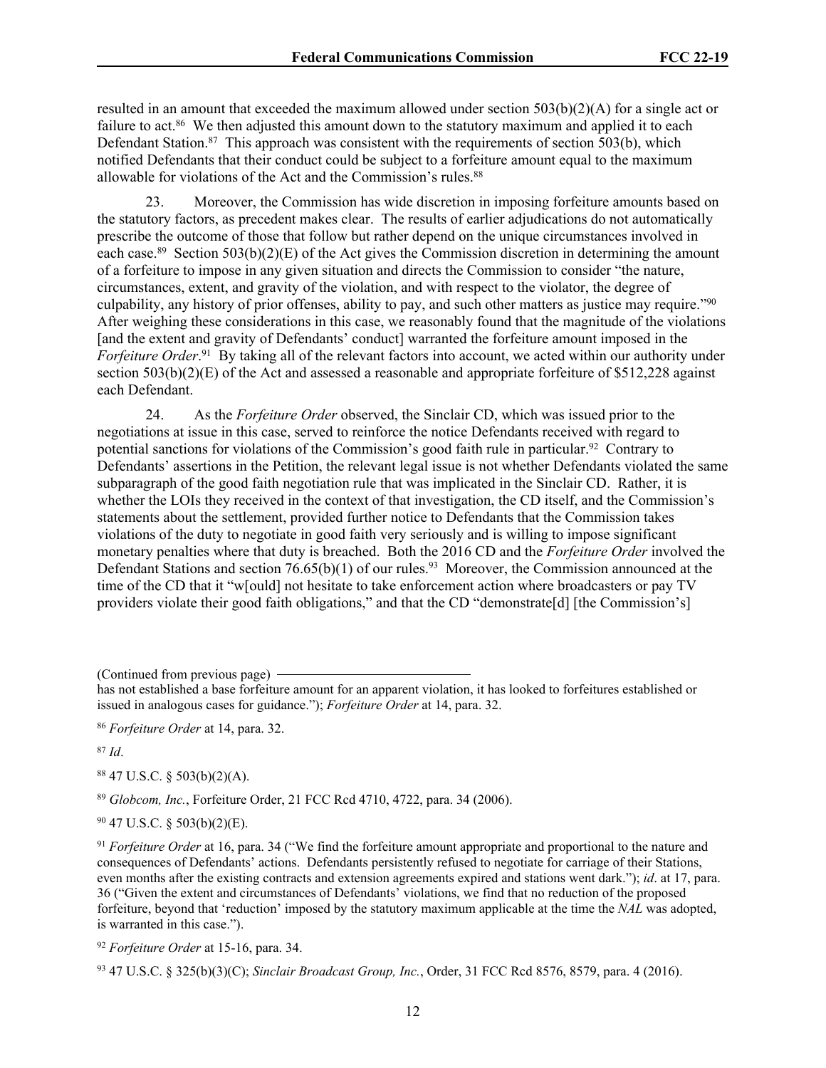resulted in an amount that exceeded the maximum allowed under section 503(b)(2)(A) for a single act or failure to act.<sup>86</sup> We then adjusted this amount down to the statutory maximum and applied it to each Defendant Station.<sup>87</sup> This approach was consistent with the requirements of section  $\overline{503(b)}$ , which notified Defendants that their conduct could be subject to a forfeiture amount equal to the maximum allowable for violations of the Act and the Commission's rules.<sup>88</sup>

23. Moreover, the Commission has wide discretion in imposing forfeiture amounts based on the statutory factors, as precedent makes clear. The results of earlier adjudications do not automatically prescribe the outcome of those that follow but rather depend on the unique circumstances involved in each case.<sup>89</sup> Section 503(b)(2)(E) of the Act gives the Commission discretion in determining the amount of a forfeiture to impose in any given situation and directs the Commission to consider "the nature, circumstances, extent, and gravity of the violation, and with respect to the violator, the degree of culpability, any history of prior offenses, ability to pay, and such other matters as justice may require."<sup>90</sup> After weighing these considerations in this case, we reasonably found that the magnitude of the violations [and the extent and gravity of Defendants' conduct] warranted the forfeiture amount imposed in the *Forfeiture Order*. <sup>91</sup> By taking all of the relevant factors into account, we acted within our authority under section 503(b)(2)(E) of the Act and assessed a reasonable and appropriate forfeiture of \$512,228 against each Defendant.

24. As the *Forfeiture Order* observed, the Sinclair CD, which was issued prior to the negotiations at issue in this case, served to reinforce the notice Defendants received with regard to potential sanctions for violations of the Commission's good faith rule in particular.<sup>92</sup> Contrary to Defendants' assertions in the Petition, the relevant legal issue is not whether Defendants violated the same subparagraph of the good faith negotiation rule that was implicated in the Sinclair CD. Rather, it is whether the LOIs they received in the context of that investigation, the CD itself, and the Commission's statements about the settlement, provided further notice to Defendants that the Commission takes violations of the duty to negotiate in good faith very seriously and is willing to impose significant monetary penalties where that duty is breached. Both the 2016 CD and the *Forfeiture Order* involved the Defendant Stations and section  $76.65(b)(1)$  of our rules.<sup>93</sup> Moreover, the Commission announced at the time of the CD that it "w[ould] not hesitate to take enforcement action where broadcasters or pay TV providers violate their good faith obligations," and that the CD "demonstrate[d] [the Commission's]

(Continued from previous page)

<sup>86</sup> *Forfeiture Order* at 14, para. 32.

<sup>87</sup> *Id*.

<sup>88</sup> 47 U.S.C. § 503(b)(2)(A).

<sup>89</sup> *Globcom, Inc.*, Forfeiture Order, 21 FCC Rcd 4710, 4722, para. 34 (2006).

<sup>90</sup> 47 U.S.C. § 503(b)(2)(E).

<sup>92</sup> *Forfeiture Order* at 15-16, para. 34.

has not established a base forfeiture amount for an apparent violation, it has looked to forfeitures established or issued in analogous cases for guidance."); *Forfeiture Order* at 14, para. 32.

<sup>91</sup> *Forfeiture Order* at 16, para. 34 ("We find the forfeiture amount appropriate and proportional to the nature and consequences of Defendants' actions. Defendants persistently refused to negotiate for carriage of their Stations, even months after the existing contracts and extension agreements expired and stations went dark."); *id*. at 17, para. 36 ("Given the extent and circumstances of Defendants' violations, we find that no reduction of the proposed forfeiture, beyond that 'reduction' imposed by the statutory maximum applicable at the time the *NAL* was adopted, is warranted in this case.").

<sup>93</sup> 47 U.S.C. § 325(b)(3)(C); *Sinclair Broadcast Group, Inc.*, Order, 31 FCC Rcd 8576, 8579, para. 4 (2016).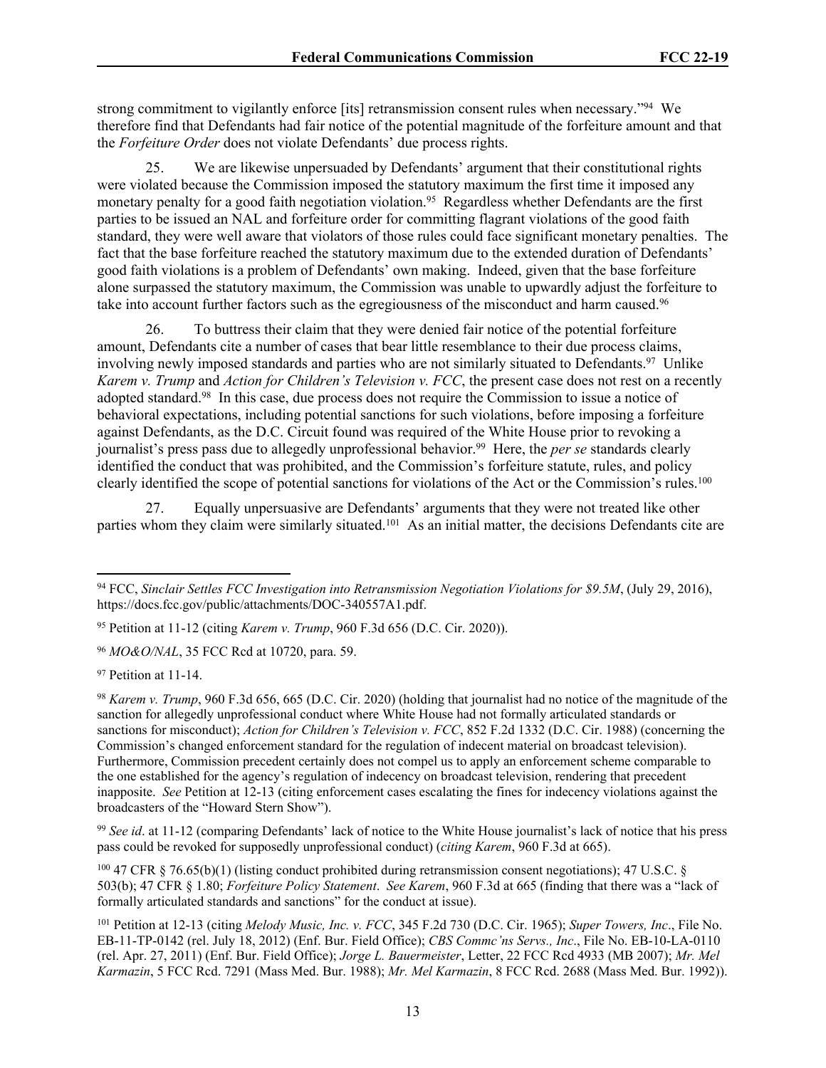strong commitment to vigilantly enforce [its] retransmission consent rules when necessary."<sup>94</sup> We therefore find that Defendants had fair notice of the potential magnitude of the forfeiture amount and that the *Forfeiture Order* does not violate Defendants' due process rights.

25. We are likewise unpersuaded by Defendants' argument that their constitutional rights were violated because the Commission imposed the statutory maximum the first time it imposed any monetary penalty for a good faith negotiation violation.<sup>95</sup> Regardless whether Defendants are the first parties to be issued an NAL and forfeiture order for committing flagrant violations of the good faith standard, they were well aware that violators of those rules could face significant monetary penalties. The fact that the base forfeiture reached the statutory maximum due to the extended duration of Defendants' good faith violations is a problem of Defendants' own making. Indeed, given that the base forfeiture alone surpassed the statutory maximum, the Commission was unable to upwardly adjust the forfeiture to take into account further factors such as the egregiousness of the misconduct and harm caused.<sup>96</sup>

26. To buttress their claim that they were denied fair notice of the potential forfeiture amount, Defendants cite a number of cases that bear little resemblance to their due process claims, involving newly imposed standards and parties who are not similarly situated to Defendants.<sup>97</sup> Unlike *Karem v. Trump* and *Action for Children's Television v. FCC*, the present case does not rest on a recently adopted standard.<sup>98</sup> In this case, due process does not require the Commission to issue a notice of behavioral expectations, including potential sanctions for such violations, before imposing a forfeiture against Defendants, as the D.C. Circuit found was required of the White House prior to revoking a journalist's press pass due to allegedly unprofessional behavior.<sup>99</sup> Here, the *per se* standards clearly identified the conduct that was prohibited, and the Commission's forfeiture statute, rules, and policy clearly identified the scope of potential sanctions for violations of the Act or the Commission's rules.<sup>100</sup>

27. Equally unpersuasive are Defendants' arguments that they were not treated like other parties whom they claim were similarly situated.<sup>101</sup> As an initial matter, the decisions Defendants cite are

<sup>99</sup> See id. at 11-12 (comparing Defendants' lack of notice to the White House journalist's lack of notice that his press pass could be revoked for supposedly unprofessional conduct) (*citing Karem*, 960 F.3d at 665).

<sup>100</sup> 47 CFR § 76.65(b)(1) (listing conduct prohibited during retransmission consent negotiations); 47 U.S.C. § 503(b); 47 CFR § 1.80; *Forfeiture Policy Statement*. *See Karem*, 960 F.3d at 665 (finding that there was a "lack of formally articulated standards and sanctions" for the conduct at issue).

<sup>94</sup> FCC, *Sinclair Settles FCC Investigation into Retransmission Negotiation Violations for \$9.5M*, (July 29, 2016), https://docs.fcc.gov/public/attachments/DOC-340557A1.pdf.

<sup>95</sup> Petition at 11-12 (citing *Karem v. Trump*, 960 F.3d 656 (D.C. Cir. 2020)).

<sup>96</sup> *MO&O/NAL*, 35 FCC Rcd at 10720, para. 59.

<sup>97</sup> Petition at 11-14.

<sup>98</sup> *Karem v. Trump*, 960 F.3d 656, 665 (D.C. Cir. 2020) (holding that journalist had no notice of the magnitude of the sanction for allegedly unprofessional conduct where White House had not formally articulated standards or sanctions for misconduct); *Action for Children's Television v. FCC*, 852 F.2d 1332 (D.C. Cir. 1988) (concerning the Commission's changed enforcement standard for the regulation of indecent material on broadcast television). Furthermore, Commission precedent certainly does not compel us to apply an enforcement scheme comparable to the one established for the agency's regulation of indecency on broadcast television, rendering that precedent inapposite. *See* Petition at 12-13 (citing enforcement cases escalating the fines for indecency violations against the broadcasters of the "Howard Stern Show").

<sup>101</sup> Petition at 12-13 (citing *Melody Music, Inc. v. FCC*, 345 F.2d 730 (D.C. Cir. 1965); *Super Towers, Inc*., File No. EB-11-TP-0142 (rel. July 18, 2012) (Enf. Bur. Field Office); *CBS Commc'ns Servs., Inc*., File No. EB-10-LA-0110 (rel. Apr. 27, 2011) (Enf. Bur. Field Office); *Jorge L. Bauermeister*, Letter, 22 FCC Rcd 4933 (MB 2007); *Mr. Mel Karmazin*, 5 FCC Rcd. 7291 (Mass Med. Bur. 1988); *Mr. Mel Karmazin*, 8 FCC Rcd. 2688 (Mass Med. Bur. 1992)).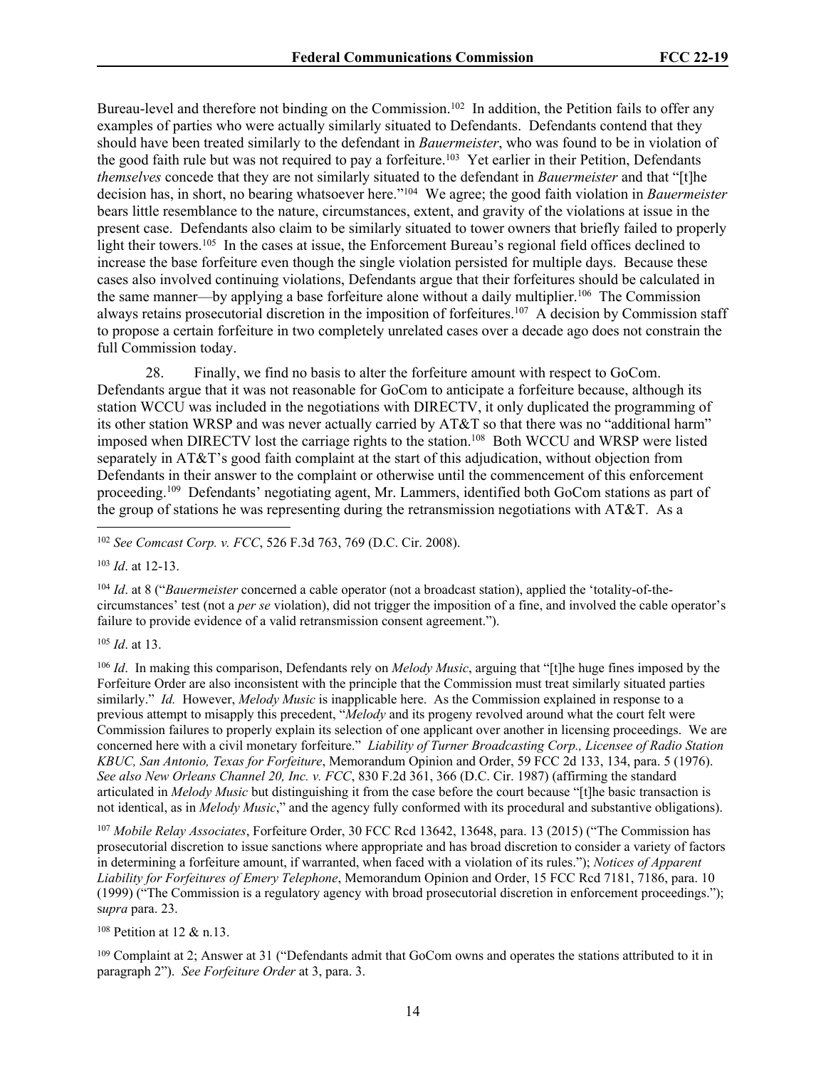Bureau-level and therefore not binding on the Commission.<sup>102</sup> In addition, the Petition fails to offer any examples of parties who were actually similarly situated to Defendants. Defendants contend that they should have been treated similarly to the defendant in *Bauermeister*, who was found to be in violation of the good faith rule but was not required to pay a forfeiture.<sup>103</sup> Yet earlier in their Petition, Defendants *themselves* concede that they are not similarly situated to the defendant in *Bauermeister* and that "[t]he decision has, in short, no bearing whatsoever here."<sup>104</sup> We agree; the good faith violation in *Bauermeister*  bears little resemblance to the nature, circumstances, extent, and gravity of the violations at issue in the present case. Defendants also claim to be similarly situated to tower owners that briefly failed to properly light their towers.<sup>105</sup> In the cases at issue, the Enforcement Bureau's regional field offices declined to increase the base forfeiture even though the single violation persisted for multiple days. Because these cases also involved continuing violations, Defendants argue that their forfeitures should be calculated in the same manner—by applying a base forfeiture alone without a daily multiplier.<sup>106</sup> The Commission always retains prosecutorial discretion in the imposition of forfeitures.<sup>107</sup> A decision by Commission staff to propose a certain forfeiture in two completely unrelated cases over a decade ago does not constrain the full Commission today.

28. Finally, we find no basis to alter the forfeiture amount with respect to GoCom. Defendants argue that it was not reasonable for GoCom to anticipate a forfeiture because, although its station WCCU was included in the negotiations with DIRECTV, it only duplicated the programming of its other station WRSP and was never actually carried by AT&T so that there was no "additional harm" imposed when DIRECTV lost the carriage rights to the station.<sup>108</sup> Both WCCU and WRSP were listed separately in AT&T's good faith complaint at the start of this adjudication, without objection from Defendants in their answer to the complaint or otherwise until the commencement of this enforcement proceeding.<sup>109</sup> Defendants' negotiating agent, Mr. Lammers, identified both GoCom stations as part of the group of stations he was representing during the retransmission negotiations with AT&T. As a

<sup>102</sup> *See Comcast Corp. v. FCC*, 526 F.3d 763, 769 (D.C. Cir. 2008).

<sup>103</sup> *Id*. at 12-13.

<sup>104</sup> *Id*. at 8 ("*Bauermeister* concerned a cable operator (not a broadcast station), applied the 'totality-of-thecircumstances' test (not a *per se* violation), did not trigger the imposition of a fine, and involved the cable operator's failure to provide evidence of a valid retransmission consent agreement.").

<sup>105</sup> *Id*. at 13.

<sup>106</sup> *Id*. In making this comparison, Defendants rely on *Melody Music*, arguing that "[t]he huge fines imposed by the Forfeiture Order are also inconsistent with the principle that the Commission must treat similarly situated parties similarly." *Id.* However, *Melody Music* is inapplicable here. As the Commission explained in response to a previous attempt to misapply this precedent, "*Melody* and its progeny revolved around what the court felt were Commission failures to properly explain its selection of one applicant over another in licensing proceedings. We are concerned here with a civil monetary forfeiture." *Liability of Turner Broadcasting Corp., Licensee of Radio Station KBUC, San Antonio, Texas for Forfeiture*, Memorandum Opinion and Order, 59 FCC 2d 133, 134, para. 5 (1976). *See also New Orleans Channel 20, Inc. v. FCC*, 830 F.2d 361, 366 (D.C. Cir. 1987) (affirming the standard articulated in *Melody Music* but distinguishing it from the case before the court because "[t]he basic transaction is not identical, as in *Melody Music*," and the agency fully conformed with its procedural and substantive obligations).

<sup>107</sup> *Mobile Relay Associates*, Forfeiture Order, 30 FCC Rcd 13642, 13648, para. 13 (2015) ("The Commission has prosecutorial discretion to issue sanctions where appropriate and has broad discretion to consider a variety of factors in determining a forfeiture amount, if warranted, when faced with a violation of its rules."); *Notices of Apparent Liability for Forfeitures of Emery Telephone*, Memorandum Opinion and Order, 15 FCC Rcd 7181, 7186, para. 10 (1999) ("The Commission is a regulatory agency with broad prosecutorial discretion in enforcement proceedings."); s*upra* para. 23.

<sup>108</sup> Petition at 12 & n.13.

<sup>109</sup> Complaint at 2; Answer at 31 ("Defendants admit that GoCom owns and operates the stations attributed to it in paragraph 2"). *See Forfeiture Order* at 3, para. 3.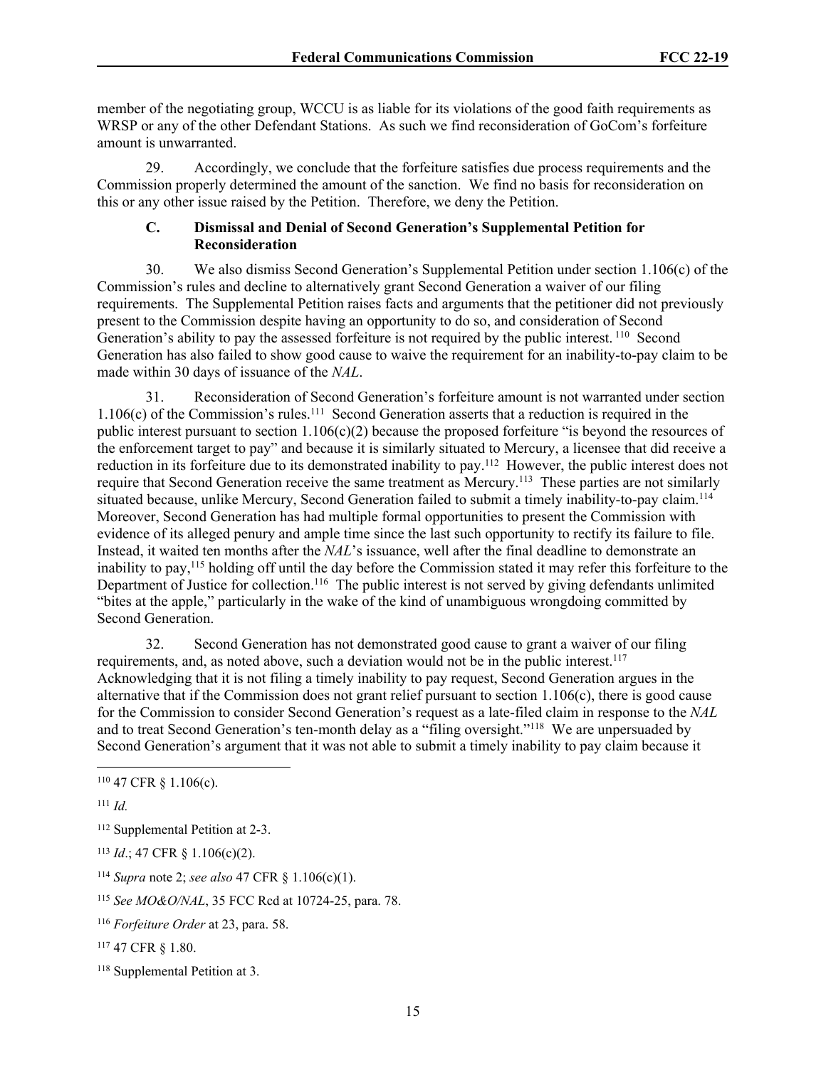member of the negotiating group, WCCU is as liable for its violations of the good faith requirements as WRSP or any of the other Defendant Stations. As such we find reconsideration of GoCom's forfeiture amount is unwarranted.

29. Accordingly, we conclude that the forfeiture satisfies due process requirements and the Commission properly determined the amount of the sanction. We find no basis for reconsideration on this or any other issue raised by the Petition. Therefore, we deny the Petition.

## **C. Dismissal and Denial of Second Generation's Supplemental Petition for Reconsideration**

30. We also dismiss Second Generation's Supplemental Petition under section 1.106(c) of the Commission's rules and decline to alternatively grant Second Generation a waiver of our filing requirements. The Supplemental Petition raises facts and arguments that the petitioner did not previously present to the Commission despite having an opportunity to do so, and consideration of Second Generation's ability to pay the assessed forfeiture is not required by the public interest.<sup>110</sup> Second Generation has also failed to show good cause to waive the requirement for an inability-to-pay claim to be made within 30 days of issuance of the *NAL*.

31. Reconsideration of Second Generation's forfeiture amount is not warranted under section 1.106(c) of the Commission's rules.<sup>111</sup> Second Generation asserts that a reduction is required in the public interest pursuant to section  $1.106(c)(2)$  because the proposed forfeiture "is beyond the resources of the enforcement target to pay" and because it is similarly situated to Mercury, a licensee that did receive a reduction in its forfeiture due to its demonstrated inability to pay.<sup>112</sup> However, the public interest does not require that Second Generation receive the same treatment as Mercury.<sup>113</sup> These parties are not similarly situated because, unlike Mercury, Second Generation failed to submit a timely inability-to-pay claim.<sup>114</sup> Moreover, Second Generation has had multiple formal opportunities to present the Commission with evidence of its alleged penury and ample time since the last such opportunity to rectify its failure to file. Instead, it waited ten months after the *NAL*'s issuance, well after the final deadline to demonstrate an inability to pay,<sup>115</sup> holding off until the day before the Commission stated it may refer this forfeiture to the Department of Justice for collection.<sup>116</sup> The public interest is not served by giving defendants unlimited "bites at the apple," particularly in the wake of the kind of unambiguous wrongdoing committed by Second Generation.

32. Second Generation has not demonstrated good cause to grant a waiver of our filing requirements, and, as noted above, such a deviation would not be in the public interest.<sup>117</sup> Acknowledging that it is not filing a timely inability to pay request, Second Generation argues in the alternative that if the Commission does not grant relief pursuant to section  $1.106(c)$ , there is good cause for the Commission to consider Second Generation's request as a late-filed claim in response to the *NAL*  and to treat Second Generation's ten-month delay as a "filing oversight."<sup>118</sup> We are unpersuaded by Second Generation's argument that it was not able to submit a timely inability to pay claim because it

<sup>110</sup> 47 CFR § 1.106(c).

<sup>111</sup> *Id.*

<sup>112</sup> Supplemental Petition at 2-3.

<sup>113</sup> *Id*.; 47 CFR § 1.106(c)(2).

<sup>114</sup> *Supra* note 2; *see also* 47 CFR § 1.106(c)(1).

<sup>115</sup> *See MO&O/NAL*, 35 FCC Rcd at 10724-25, para. 78.

<sup>116</sup> *Forfeiture Order* at 23, para. 58.

<sup>117</sup> 47 CFR § 1.80.

<sup>118</sup> Supplemental Petition at 3.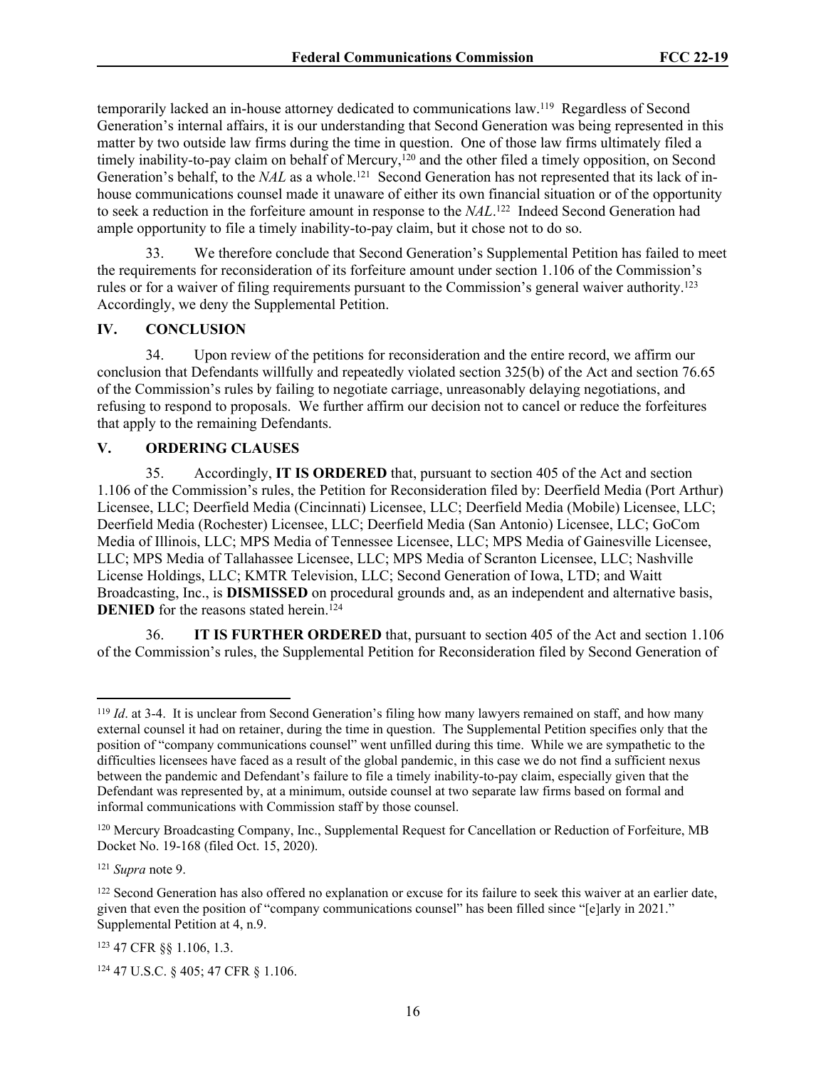temporarily lacked an in-house attorney dedicated to communications law.<sup>119</sup> Regardless of Second Generation's internal affairs, it is our understanding that Second Generation was being represented in this matter by two outside law firms during the time in question. One of those law firms ultimately filed a timely inability-to-pay claim on behalf of Mercury,<sup>120</sup> and the other filed a timely opposition, on Second Generation's behalf, to the *NAL* as a whole.<sup>121</sup> Second Generation has not represented that its lack of inhouse communications counsel made it unaware of either its own financial situation or of the opportunity to seek a reduction in the forfeiture amount in response to the *NAL*. <sup>122</sup> Indeed Second Generation had ample opportunity to file a timely inability-to-pay claim, but it chose not to do so.

33. We therefore conclude that Second Generation's Supplemental Petition has failed to meet the requirements for reconsideration of its forfeiture amount under section 1.106 of the Commission's rules or for a waiver of filing requirements pursuant to the Commission's general waiver authority.<sup>123</sup> Accordingly, we deny the Supplemental Petition.

## **IV. CONCLUSION**

34. Upon review of the petitions for reconsideration and the entire record, we affirm our conclusion that Defendants willfully and repeatedly violated section 325(b) of the Act and section 76.65 of the Commission's rules by failing to negotiate carriage, unreasonably delaying negotiations, and refusing to respond to proposals. We further affirm our decision not to cancel or reduce the forfeitures that apply to the remaining Defendants.

## **V. ORDERING CLAUSES**

35. Accordingly, **IT IS ORDERED** that, pursuant to section 405 of the Act and section 1.106 of the Commission's rules, the Petition for Reconsideration filed by: Deerfield Media (Port Arthur) Licensee, LLC; Deerfield Media (Cincinnati) Licensee, LLC; Deerfield Media (Mobile) Licensee, LLC; Deerfield Media (Rochester) Licensee, LLC; Deerfield Media (San Antonio) Licensee, LLC; GoCom Media of Illinois, LLC; MPS Media of Tennessee Licensee, LLC; MPS Media of Gainesville Licensee, LLC; MPS Media of Tallahassee Licensee, LLC; MPS Media of Scranton Licensee, LLC; Nashville License Holdings, LLC; KMTR Television, LLC; Second Generation of Iowa, LTD; and Waitt Broadcasting, Inc., is **DISMISSED** on procedural grounds and, as an independent and alternative basis, **DENIED** for the reasons stated herein.<sup> $124$ </sup>

36. **IT IS FURTHER ORDERED** that, pursuant to section 405 of the Act and section 1.106 of the Commission's rules, the Supplemental Petition for Reconsideration filed by Second Generation of

<sup>121</sup> *Supra* note 9.

<sup>&</sup>lt;sup>119</sup> *Id.* at 3-4. It is unclear from Second Generation's filing how many lawyers remained on staff, and how many external counsel it had on retainer, during the time in question. The Supplemental Petition specifies only that the position of "company communications counsel" went unfilled during this time. While we are sympathetic to the difficulties licensees have faced as a result of the global pandemic, in this case we do not find a sufficient nexus between the pandemic and Defendant's failure to file a timely inability-to-pay claim, especially given that the Defendant was represented by, at a minimum, outside counsel at two separate law firms based on formal and informal communications with Commission staff by those counsel.

<sup>120</sup> Mercury Broadcasting Company, Inc., Supplemental Request for Cancellation or Reduction of Forfeiture, MB Docket No. 19-168 (filed Oct. 15, 2020).

<sup>&</sup>lt;sup>122</sup> Second Generation has also offered no explanation or excuse for its failure to seek this waiver at an earlier date, given that even the position of "company communications counsel" has been filled since "[e]arly in 2021." Supplemental Petition at 4, n.9.

<sup>123</sup> 47 CFR §§ 1.106, 1.3.

<sup>124</sup> 47 U.S.C. § 405; 47 CFR § 1.106.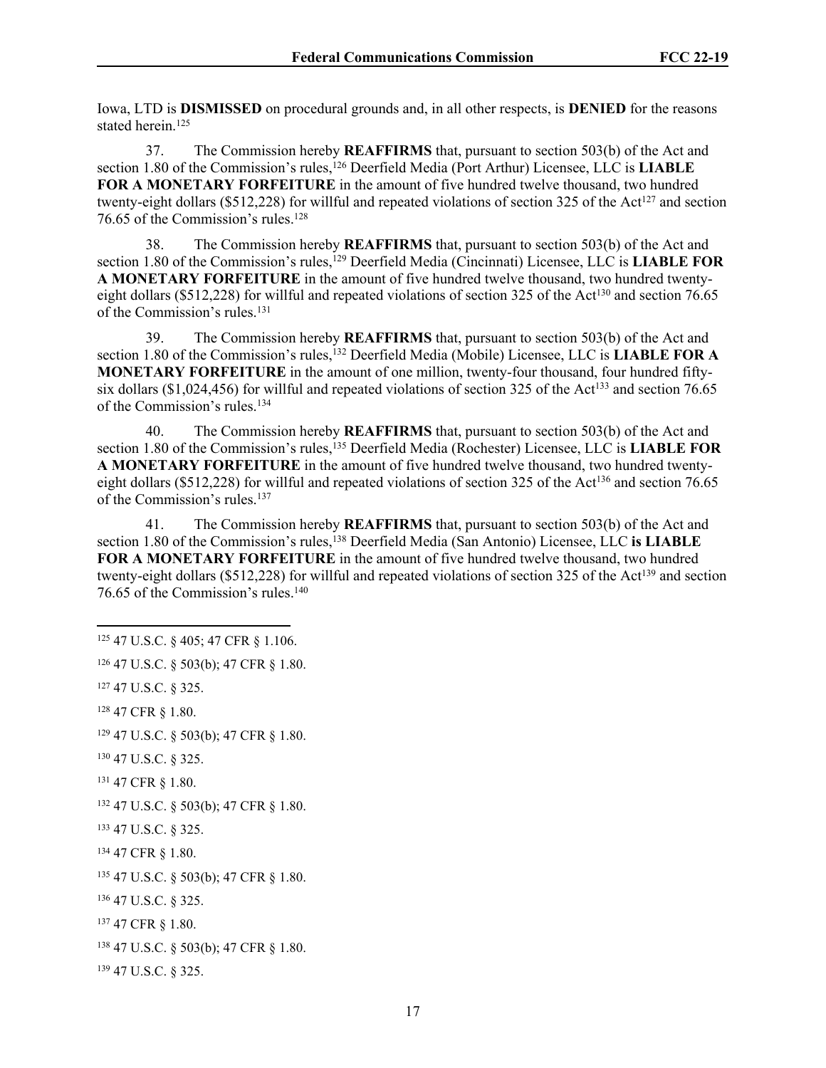Iowa, LTD is **DISMISSED** on procedural grounds and, in all other respects, is **DENIED** for the reasons stated herein.<sup>125</sup>

37. The Commission hereby **REAFFIRMS** that, pursuant to section 503(b) of the Act and section 1.80 of the Commission's rules,<sup>126</sup> Deerfield Media (Port Arthur) Licensee, LLC is **LIABLE FOR A MONETARY FORFEITURE** in the amount of five hundred twelve thousand, two hundred twenty-eight dollars (\$512,228) for willful and repeated violations of section 325 of the Act<sup>127</sup> and section 76.65 of the Commission's rules.<sup>128</sup>

38. The Commission hereby **REAFFIRMS** that, pursuant to section 503(b) of the Act and section 1.80 of the Commission's rules,<sup>129</sup> Deerfield Media (Cincinnati) Licensee, LLC is **LIABLE FOR A MONETARY FORFEITURE** in the amount of five hundred twelve thousand, two hundred twentyeight dollars (\$512,228) for willful and repeated violations of section 325 of the Act<sup>130</sup> and section 76.65 of the Commission's rules.<sup>131</sup>

39. The Commission hereby **REAFFIRMS** that, pursuant to section 503(b) of the Act and section 1.80 of the Commission's rules,<sup>132</sup> Deerfield Media (Mobile) Licensee, LLC is **LIABLE FOR A MONETARY FORFEITURE** in the amount of one million, twenty-four thousand, four hundred fiftysix dollars (\$1,024,456) for willful and repeated violations of section 325 of the Act<sup>133</sup> and section 76.65 of the Commission's rules.<sup>134</sup>

40. The Commission hereby **REAFFIRMS** that, pursuant to section 503(b) of the Act and section 1.80 of the Commission's rules,<sup>135</sup> Deerfield Media (Rochester) Licensee, LLC is **LIABLE FOR A MONETARY FORFEITURE** in the amount of five hundred twelve thousand, two hundred twentyeight dollars (\$512,228) for willful and repeated violations of section 325 of the Act<sup>136</sup> and section 76.65 of the Commission's rules.<sup>137</sup>

41. The Commission hereby **REAFFIRMS** that, pursuant to section 503(b) of the Act and section 1.80 of the Commission's rules,<sup>138</sup> Deerfield Media (San Antonio) Licensee, LLC is LIABLE **FOR A MONETARY FORFEITURE** in the amount of five hundred twelve thousand, two hundred twenty-eight dollars (\$512,228) for willful and repeated violations of section 325 of the Act<sup>139</sup> and section 76.65 of the Commission's rules.<sup>140</sup>

 47 U.S.C. § 405; 47 CFR § 1.106. 47 U.S.C. § 503(b); 47 CFR § 1.80. 47 U.S.C. § 325. 47 CFR § 1.80. 47 U.S.C. § 503(b); 47 CFR § 1.80. 47 U.S.C. § 325. 47 CFR § 1.80. 47 U.S.C. § 503(b); 47 CFR § 1.80. 47 U.S.C. § 325. 134 47 CFR § 1.80. 47 U.S.C. § 503(b); 47 CFR § 1.80. 47 U.S.C. § 325. 47 CFR § 1.80. 47 U.S.C. § 503(b); 47 CFR § 1.80. 47 U.S.C. § 325.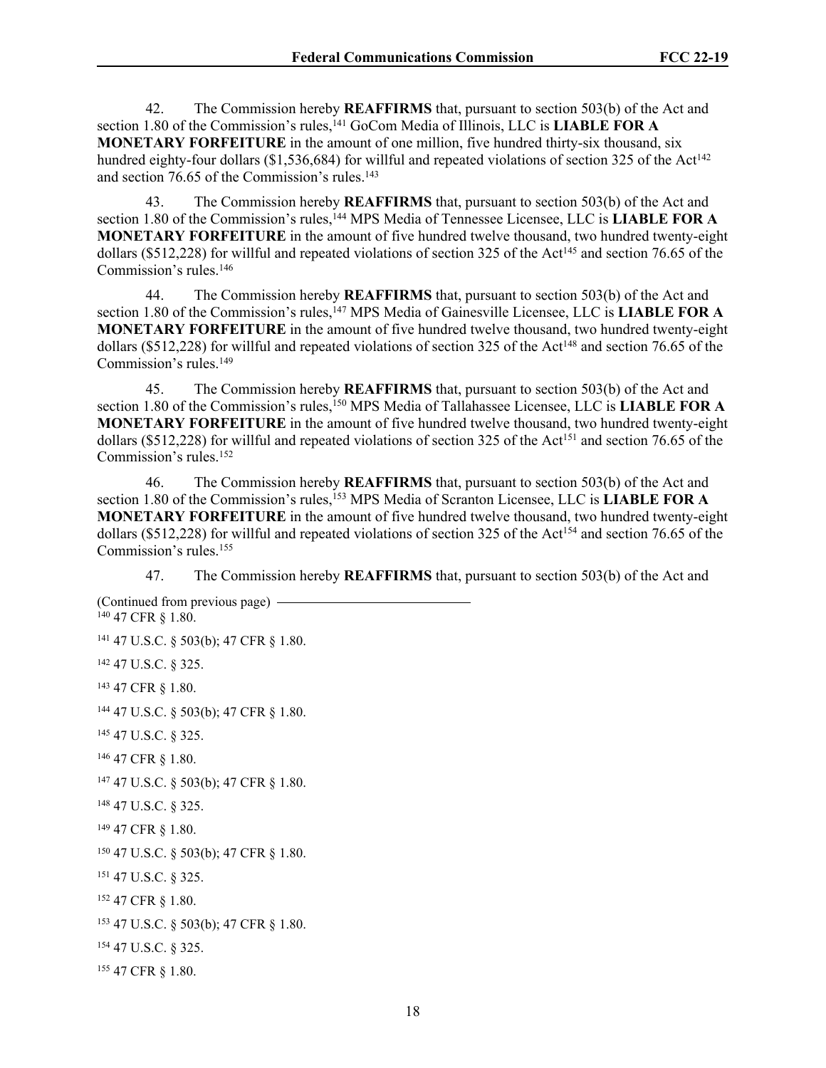42. The Commission hereby **REAFFIRMS** that, pursuant to section 503(b) of the Act and section 1.80 of the Commission's rules,<sup>141</sup> GoCom Media of Illinois, LLC is **LIABLE FOR A MONETARY FORFEITURE** in the amount of one million, five hundred thirty-six thousand, six hundred eighty-four dollars ( $$1,536,684$ ) for willful and repeated violations of section 325 of the Act<sup>142</sup> and section 76.65 of the Commission's rules.<sup>143</sup>

43. The Commission hereby **REAFFIRMS** that, pursuant to section 503(b) of the Act and section 1.80 of the Commission's rules,<sup>144</sup> MPS Media of Tennessee Licensee, LLC is **LIABLE FOR A MONETARY FORFEITURE** in the amount of five hundred twelve thousand, two hundred twenty-eight dollars (\$512,228) for willful and repeated violations of section 325 of the Act<sup>145</sup> and section 76.65 of the Commission's rules.<sup>146</sup>

44. The Commission hereby **REAFFIRMS** that, pursuant to section 503(b) of the Act and section 1.80 of the Commission's rules,<sup>147</sup> MPS Media of Gainesville Licensee, LLC is **LIABLE FOR A MONETARY FORFEITURE** in the amount of five hundred twelve thousand, two hundred twenty-eight dollars (\$512,228) for willful and repeated violations of section 325 of the Act<sup>148</sup> and section 76.65 of the Commission's rules.<sup>149</sup>

45. The Commission hereby **REAFFIRMS** that, pursuant to section 503(b) of the Act and section 1.80 of the Commission's rules,<sup>150</sup> MPS Media of Tallahassee Licensee, LLC is **LIABLE FOR A MONETARY FORFEITURE** in the amount of five hundred twelve thousand, two hundred twenty-eight dollars (\$512,228) for willful and repeated violations of section 325 of the Act<sup>151</sup> and section 76.65 of the Commission's rules.<sup>152</sup>

46. The Commission hereby **REAFFIRMS** that, pursuant to section 503(b) of the Act and section 1.80 of the Commission's rules,<sup>153</sup> MPS Media of Scranton Licensee, LLC is **LIABLE FOR A MONETARY FORFEITURE** in the amount of five hundred twelve thousand, two hundred twenty-eight dollars (\$512,228) for willful and repeated violations of section 325 of the Act<sup>154</sup> and section 76.65 of the Commission's rules.<sup>155</sup>

47. The Commission hereby **REAFFIRMS** that, pursuant to section 503(b) of the Act and

(Continued from previous page) 47 CFR § 1.80. 47 U.S.C. § 503(b); 47 CFR § 1.80. 47 U.S.C. § 325. 47 CFR § 1.80. 47 U.S.C. § 503(b); 47 CFR § 1.80. 47 U.S.C. § 325. 47 CFR § 1.80. 47 U.S.C. § 503(b); 47 CFR § 1.80. 47 U.S.C. § 325. 47 CFR § 1.80. 47 U.S.C. § 503(b); 47 CFR § 1.80. 47 U.S.C. § 325. 47 CFR § 1.80. 47 U.S.C. § 503(b); 47 CFR § 1.80. 47 U.S.C. § 325. 47 CFR § 1.80.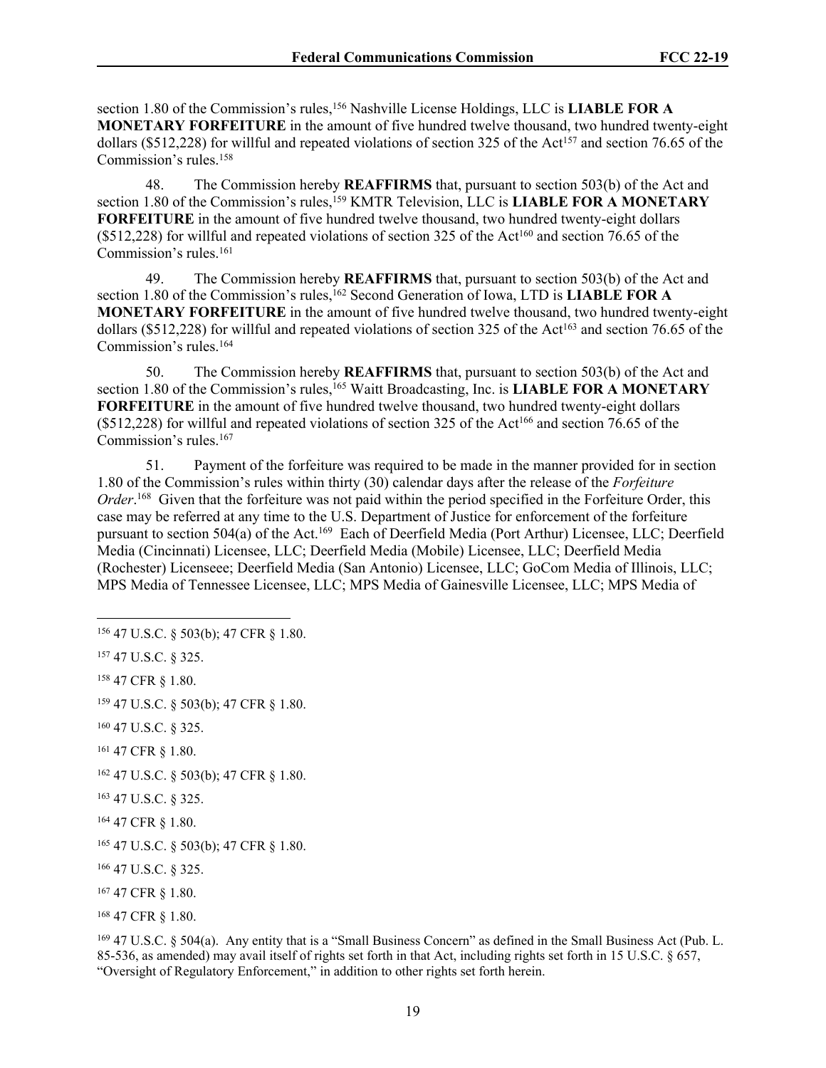section 1.80 of the Commission's rules,<sup>156</sup> Nashville License Holdings, LLC is **LIABLE FOR A MONETARY FORFEITURE** in the amount of five hundred twelve thousand, two hundred twenty-eight dollars (\$512,228) for willful and repeated violations of section 325 of the Act<sup>157</sup> and section 76.65 of the Commission's rules.<sup>158</sup>

48. The Commission hereby **REAFFIRMS** that, pursuant to section 503(b) of the Act and section 1.80 of the Commission's rules,<sup>159</sup> KMTR Television, LLC is **LIABLE FOR A MONETARY FORFEITURE** in the amount of five hundred twelve thousand, two hundred twenty-eight dollars  $($512,228)$  for willful and repeated violations of section 325 of the Act<sup>160</sup> and section 76.65 of the Commission's rules.<sup>161</sup>

49. The Commission hereby **REAFFIRMS** that, pursuant to section 503(b) of the Act and section 1.80 of the Commission's rules,<sup>162</sup> Second Generation of Iowa, LTD is **LIABLE FOR A MONETARY FORFEITURE** in the amount of five hundred twelve thousand, two hundred twenty-eight dollars (\$512,228) for willful and repeated violations of section 325 of the Act<sup>163</sup> and section 76.65 of the Commission's rules.<sup>164</sup>

50. The Commission hereby **REAFFIRMS** that, pursuant to section 503(b) of the Act and section 1.80 of the Commission's rules,<sup>165</sup> Waitt Broadcasting, Inc. is **LIABLE FOR A MONETARY FORFEITURE** in the amount of five hundred twelve thousand, two hundred twenty-eight dollars  $($512,228)$  for willful and repeated violations of section 325 of the Act<sup>166</sup> and section 76.65 of the Commission's rules.<sup>167</sup>

51. Payment of the forfeiture was required to be made in the manner provided for in section 1.80 of the Commission's rules within thirty (30) calendar days after the release of the *Forfeiture Order*. <sup>168</sup> Given that the forfeiture was not paid within the period specified in the Forfeiture Order, this case may be referred at any time to the U.S. Department of Justice for enforcement of the forfeiture pursuant to section 504(a) of the Act.<sup>169</sup> Each of Deerfield Media (Port Arthur) Licensee, LLC; Deerfield Media (Cincinnati) Licensee, LLC; Deerfield Media (Mobile) Licensee, LLC; Deerfield Media (Rochester) Licenseee; Deerfield Media (San Antonio) Licensee, LLC; GoCom Media of Illinois, LLC; MPS Media of Tennessee Licensee, LLC; MPS Media of Gainesville Licensee, LLC; MPS Media of

<sup>159</sup> 47 U.S.C. § 503(b); 47 CFR § 1.80.

<sup>169</sup> 47 U.S.C. § 504(a). Any entity that is a "Small Business Concern" as defined in the Small Business Act (Pub. L. 85-536, as amended) may avail itself of rights set forth in that Act, including rights set forth in 15 U.S.C. § 657, "Oversight of Regulatory Enforcement," in addition to other rights set forth herein.

<sup>156</sup> 47 U.S.C. § 503(b); 47 CFR § 1.80.

<sup>157</sup> 47 U.S.C. § 325.

<sup>158</sup> 47 CFR § 1.80.

<sup>160</sup> 47 U.S.C. § 325.

<sup>161</sup> 47 CFR § 1.80.

<sup>162</sup> 47 U.S.C. § 503(b); 47 CFR § 1.80.

<sup>163</sup> 47 U.S.C. § 325.

<sup>164</sup> 47 CFR § 1.80.

<sup>165</sup> 47 U.S.C. § 503(b); 47 CFR § 1.80.

<sup>166</sup> 47 U.S.C. § 325.

<sup>167</sup> 47 CFR § 1.80.

<sup>168</sup> 47 CFR § 1.80.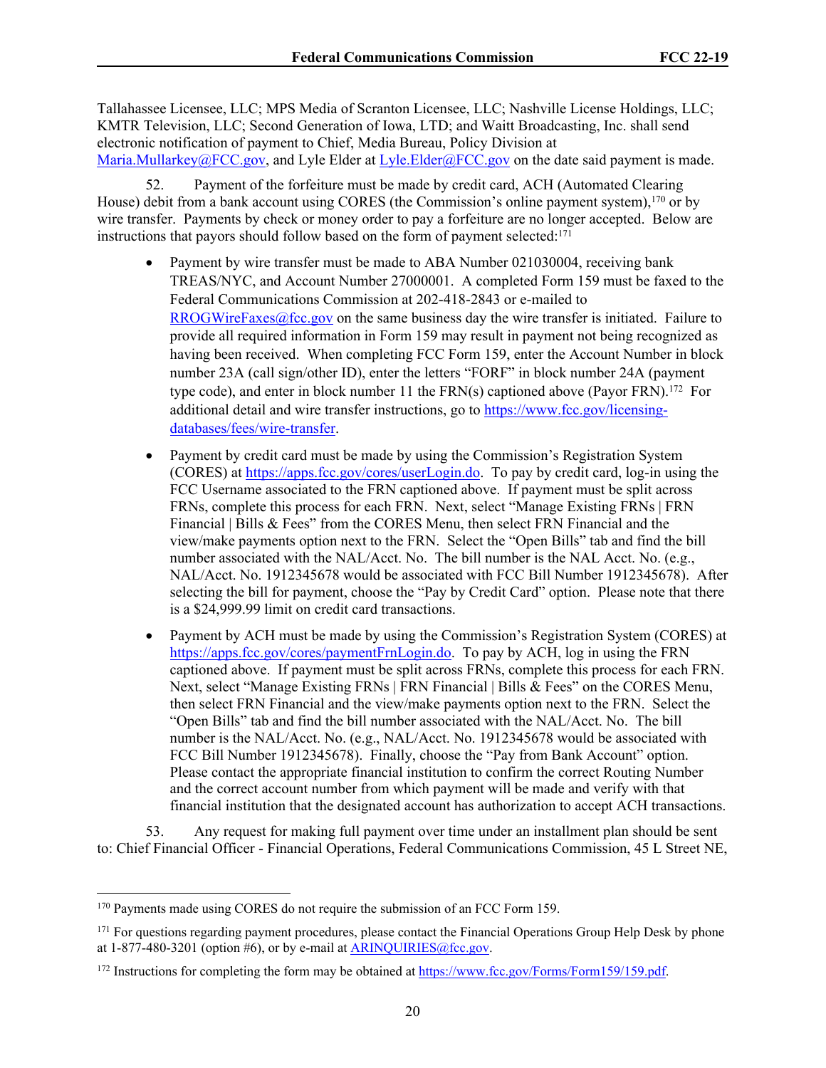Tallahassee Licensee, LLC; MPS Media of Scranton Licensee, LLC; Nashville License Holdings, LLC; KMTR Television, LLC; Second Generation of Iowa, LTD; and Waitt Broadcasting, Inc. shall send electronic notification of payment to Chief, Media Bureau, Policy Division at [Maria.Mullarkey@FCC.gov](mailto:Maria.Mullarkey@FCC.gov), and Lyle Elder at [Lyle.Elder@FCC.gov](mailto:Lyle.Elder@FCC.gov) on the date said payment is made.

52. Payment of the forfeiture must be made by credit card, ACH (Automated Clearing House) debit from a bank account using CORES (the Commission's online payment system),<sup>170</sup> or by wire transfer. Payments by check or money order to pay a forfeiture are no longer accepted. Below are instructions that payors should follow based on the form of payment selected:<sup>171</sup>

- Payment by wire transfer must be made to ABA Number 021030004, receiving bank TREAS/NYC, and Account Number 27000001. A completed Form 159 must be faxed to the Federal Communications Commission at 202-418-2843 or e-mailed to [RROGWireFaxes@fcc.gov](mailto:RROGWireFaxes@fcc.gov) on the same business day the wire transfer is initiated. Failure to provide all required information in Form 159 may result in payment not being recognized as having been received. When completing FCC Form 159, enter the Account Number in block number 23A (call sign/other ID), enter the letters "FORF" in block number 24A (payment type code), and enter in block number 11 the  $FRN(s)$  captioned above (Payor  $FRN$ ).<sup>172</sup> For additional detail and wire transfer instructions, go to [https://www.fcc.gov/licensing](https://www.fcc.gov/licensing-databases/fees/wire-transfer)[databases/fees/wire-transfer.](https://www.fcc.gov/licensing-databases/fees/wire-transfer)
- Payment by credit card must be made by using the Commission's Registration System (CORES) at<https://apps.fcc.gov/cores/userLogin.do>. To pay by credit card, log-in using the FCC Username associated to the FRN captioned above. If payment must be split across FRNs, complete this process for each FRN. Next, select "Manage Existing FRNs | FRN Financial | Bills & Fees" from the CORES Menu, then select FRN Financial and the view/make payments option next to the FRN. Select the "Open Bills" tab and find the bill number associated with the NAL/Acct. No. The bill number is the NAL Acct. No. (e.g., NAL/Acct. No. 1912345678 would be associated with FCC Bill Number 1912345678). After selecting the bill for payment, choose the "Pay by Credit Card" option. Please note that there is a \$24,999.99 limit on credit card transactions.
- Payment by ACH must be made by using the Commission's Registration System (CORES) at [https://apps.fcc.gov/cores/paymentFrnLogin.do.](https://apps.fcc.gov/cores/paymentFrnLogin.do) To pay by ACH, log in using the FRN captioned above. If payment must be split across FRNs, complete this process for each FRN. Next, select "Manage Existing FRNs | FRN Financial | Bills & Fees" on the CORES Menu, then select FRN Financial and the view/make payments option next to the FRN. Select the "Open Bills" tab and find the bill number associated with the NAL/Acct. No. The bill number is the NAL/Acct. No. (e.g., NAL/Acct. No. 1912345678 would be associated with FCC Bill Number 1912345678). Finally, choose the "Pay from Bank Account" option. Please contact the appropriate financial institution to confirm the correct Routing Number and the correct account number from which payment will be made and verify with that financial institution that the designated account has authorization to accept ACH transactions.

53. Any request for making full payment over time under an installment plan should be sent to: Chief Financial Officer - Financial Operations, Federal Communications Commission, 45 L Street NE,

<sup>170</sup> Payments made using CORES do not require the submission of an FCC Form 159.

<sup>&</sup>lt;sup>171</sup> For questions regarding payment procedures, please contact the Financial Operations Group Help Desk by phone at  $1-877-480-3201$  (option #6), or by e-mail at [ARINQUIRIES@fcc.gov.](mailto:ARINQUIRIES@fcc.gov)

<sup>172</sup> Instructions for completing the form may be obtained at [https://www.fcc.gov/Forms/Form159/159.pdf.](https://www.fcc.gov/Forms/Form159/159.pdf)